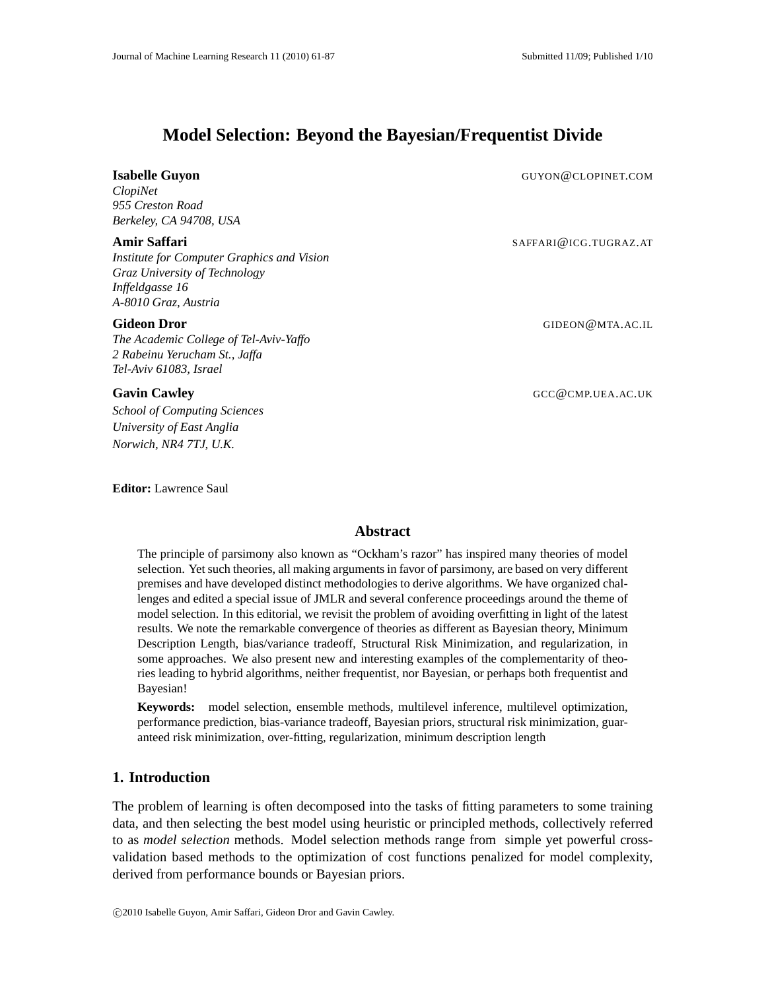# **Model Selection: Beyond the Bayesian/Frequentist Divide**

# **Isabelle Guyon** GUYON GUYON GENERAL COMPLETED AND GUYON GENERAL COMPLETED ASSESSMENT OF THE SERVICE OF THE SERVICE OF THE SERVICE OF THE SERVICE OF THE SERVICE OF THE SERVICE OF THE SERVICE OF THE SERVICE OF THE SERVICE O

*ClopiNet 955 Creston Road Berkeley, CA 94708, USA*

# **Amir Saffari** Samuel Saffari Saffari Saffari Saffari Saffari Saffari Saffari Saffari Saffari Saffari Saffari Saffari Saffari Saffari Saffari Saffari Saffari Saffari Saffari Saffari Saffari Saffari Saffari Saffari Saffari

*Institute for Computer Graphics and Vision Graz University of Technology Inffeldgasse 16 A-8010 Graz, Austria*

### **Gideon Dror** GIDEON@MTA.AC.IL

*The Academic College of Tel-Aviv-Yaffo 2 Rabeinu Yerucham St., Jaffa Tel-Aviv 61083, Israel*

**Gavin Cawley** GCC @CMP.UEA.AC.UK

*School of Computing Sciences University of East Anglia Norwich, NR4 7TJ, U.K.*

**Editor:** Lawrence Saul

# **Abstract**

The principle of parsimony also known as "Ockham's razor" has inspired many theories of model selection. Yet such theories, all making arguments in favor of parsimony, are based on very different premises and have developed distinct methodologies to derive algorithms. We have organized challenges and edited a special issue of JMLR and several conference proceedings around the theme of model selection. In this editorial, we revisit the problem of avoiding overfitting in light of the latest results. We note the remarkable convergence of theories as different as Bayesian theory, Minimum Description Length, bias/variance tradeoff, Structural Risk Minimization, and regularization, in some approaches. We also present new and interesting examples of the complementarity of theories leading to hybrid algorithms, neither frequentist, nor Bayesian, or perhaps both frequentist and Bayesian!

**Keywords:** model selection, ensemble methods, multilevel inference, multilevel optimization, performance prediction, bias-variance tradeoff, Bayesian priors, structural risk minimization, guaranteed risk minimization, over-fitting, regularization, minimum description length

# **1. Introduction**

The problem of learning is often decomposed into the tasks of fitting parameters to some training data, and then selecting the best model using heuristic or principled methods, collectively referred to as *model selection* methods. Model selection methods range from simple yet powerful crossvalidation based methods to the optimization of cost functions penalized for model complexity, derived from performance bounds or Bayesian priors.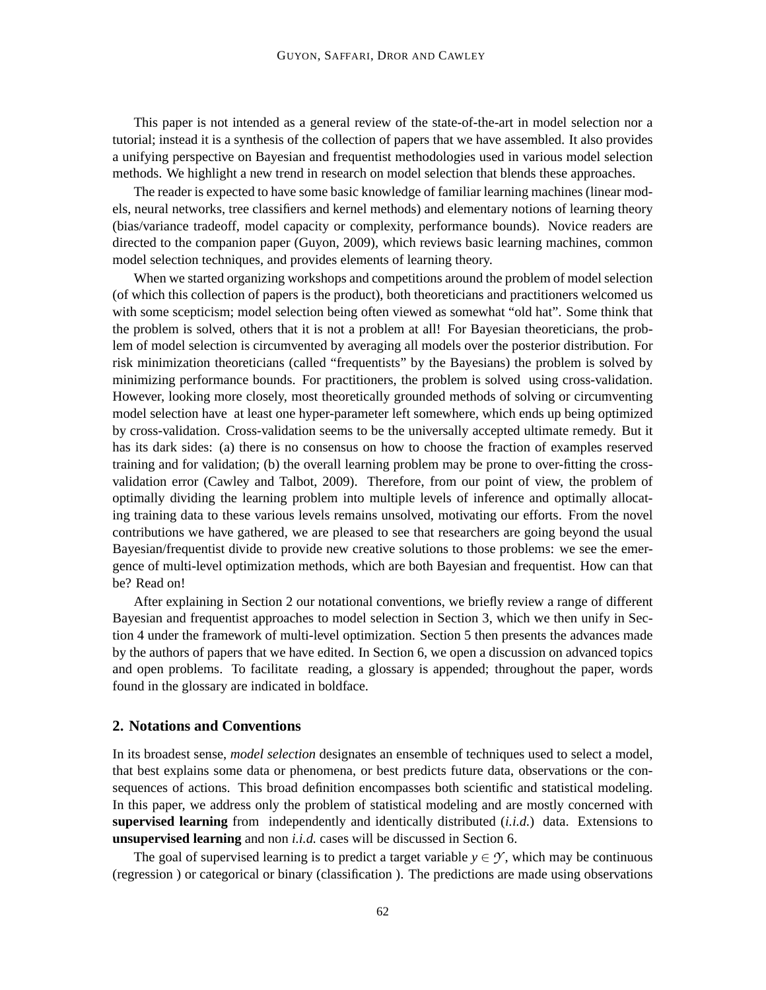This paper is not intended as a general review of the state-of-the-art in model selection nor a tutorial; instead it is a synthesis of the collection of papers that we have assembled. It also provides a unifying perspective on Bayesian and frequentist methodologies used in various model selection methods. We highlight a new trend in research on model selection that blends these approaches.

The reader is expected to have some basic knowledge of familiar learning machines (linear models, neural networks, tree classifiers and kernel methods) and elementary notions of learning theory (bias/variance tradeoff, model capacity or complexity, performance bounds). Novice readers are directed to the companion paper (Guyon, 2009), which reviews basic learning machines, common model selection techniques, and provides elements of learning theory.

When we started organizing workshops and competitions around the problem of model selection (of which this collection of papers is the product), both theoreticians and practitioners welcomed us with some scepticism; model selection being often viewed as somewhat "old hat". Some think that the problem is solved, others that it is not a problem at all! For Bayesian theoreticians, the problem of model selection is circumvented by averaging all models over the posterior distribution. For risk minimization theoreticians (called "frequentists" by the Bayesians) the problem is solved by minimizing performance bounds. For practitioners, the problem is solved using cross-validation. However, looking more closely, most theoretically grounded methods of solving or circumventing model selection have at least one hyper-parameter left somewhere, which ends up being optimized by cross-validation. Cross-validation seems to be the universally accepted ultimate remedy. But it has its dark sides: (a) there is no consensus on how to choose the fraction of examples reserved training and for validation; (b) the overall learning problem may be prone to over-fitting the crossvalidation error (Cawley and Talbot, 2009). Therefore, from our point of view, the problem of optimally dividing the learning problem into multiple levels of inference and optimally allocating training data to these various levels remains unsolved, motivating our efforts. From the novel contributions we have gathered, we are pleased to see that researchers are going beyond the usual Bayesian/frequentist divide to provide new creative solutions to those problems: we see the emergence of multi-level optimization methods, which are both Bayesian and frequentist. How can that be? Read on!

After explaining in Section 2 our notational conventions, we briefly review a range of different Bayesian and frequentist approaches to model selection in Section 3, which we then unify in Section 4 under the framework of multi-level optimization. Section 5 then presents the advances made by the authors of papers that we have edited. In Section 6, we open a discussion on advanced topics and open problems. To facilitate reading, a glossary is appended; throughout the paper, words found in the glossary are indicated in boldface.

#### **2. Notations and Conventions**

In its broadest sense, *model selection* designates an ensemble of techniques used to select a model, that best explains some data or phenomena, or best predicts future data, observations or the consequences of actions. This broad definition encompasses both scientific and statistical modeling. In this paper, we address only the problem of statistical modeling and are mostly concerned with **supervised learning** from independently and identically distributed (*i.i.d.*) data. Extensions to **unsupervised learning** and non *i.i.d.* cases will be discussed in Section 6.

The goal of supervised learning is to predict a target variable  $y \in \mathcal{Y}$ , which may be continuous (regression ) or categorical or binary (classification ). The predictions are made using observations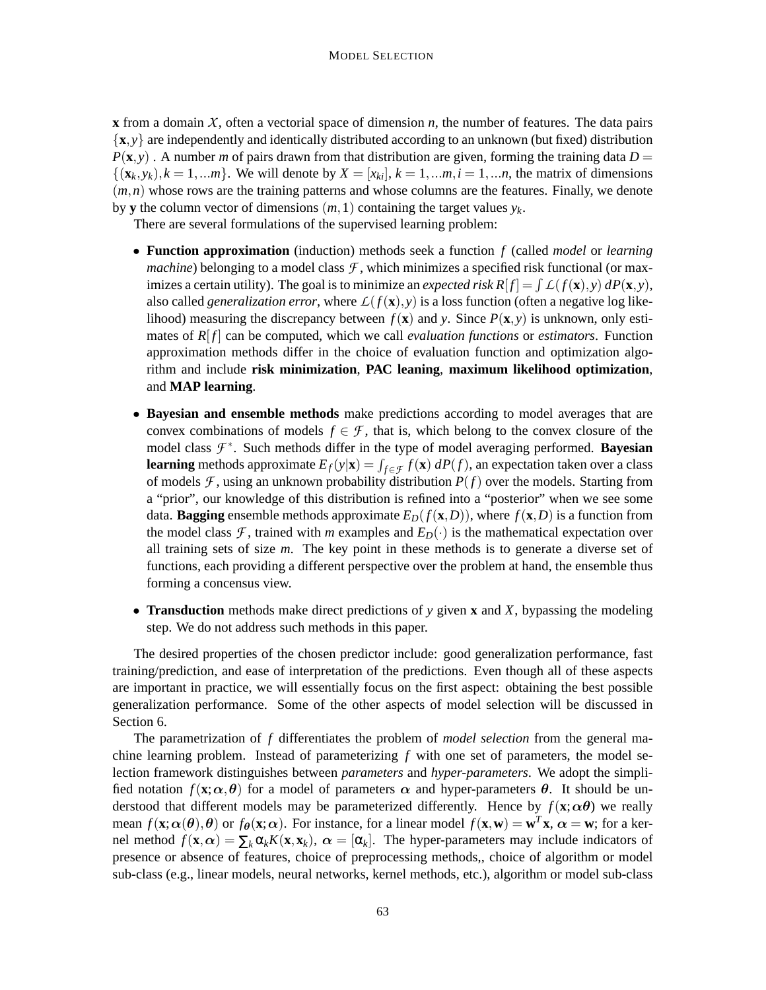**x** from a domain  $X$ , often a vectorial space of dimension  $n$ , the number of features. The data pairs  $\{x, y\}$  are independently and identically distributed according to an unknown (but fixed) distribution  $P(\mathbf{x}, y)$ . A number *m* of pairs drawn from that distribution are given, forming the training data  $D =$  $\{(x_k, y_k), k = 1, \ldots m\}$ . We will denote by  $X = [x_{ki}], k = 1, \ldots m, i = 1, \ldots n$ , the matrix of dimensions  $(m, n)$  whose rows are the training patterns and whose columns are the features. Finally, we denote by **y** the column vector of dimensions  $(m,1)$  containing the target values  $y_k$ .

There are several formulations of the supervised learning problem:

- **Function approximation** (induction) methods seek a function *f* (called *model* or *learning machine*) belonging to a model class  $\mathcal{F}$ , which minimizes a specified risk functional (or maximizes a certain utility). The goal is to minimize an *expected risk*  $R[f] = \int L(f(\mathbf{x}), y) dP(\mathbf{x}, y)$ , also called *generalization error*, where  $L(f(\mathbf{x}), y)$  is a loss function (often a negative log likelihood) measuring the discrepancy between  $f(\mathbf{x})$  and *y*. Since  $P(\mathbf{x}, y)$  is unknown, only estimates of  $R[f]$  can be computed, which we call *evaluation functions* or *estimators*. Function approximation methods differ in the choice of evaluation function and optimization algorithm and include **risk minimization**, **PAC leaning**, **maximum likelihood optimization**, and **MAP learning**.
- **Bayesian and ensemble methods** make predictions according to model averages that are convex combinations of models  $f \in \mathcal{F}$ , that is, which belong to the convex closure of the model class *F* ∗ . Such methods differ in the type of model averaging performed. **Bayesian learning** methods approximate  $E_f(y|\mathbf{x}) = \int_{f \in \mathcal{F}} f(\mathbf{x}) dP(f)$ , an expectation taken over a class of models  $\mathcal F$ , using an unknown probability distribution  $P(f)$  over the models. Starting from a "prior", our knowledge of this distribution is refined into a "posterior" when we see some data. **Bagging** ensemble methods approximate  $E_D(f(\mathbf{x}, D))$ , where  $f(\mathbf{x}, D)$  is a function from the model class *F*, trained with *m* examples and  $E_D(\cdot)$  is the mathematical expectation over all training sets of size *m*. The key point in these methods is to generate a diverse set of functions, each providing a different perspective over the problem at hand, the ensemble thus forming a concensus view.
- **Transduction** methods make direct predictions of *y* given **x** and *X*, bypassing the modeling step. We do not address such methods in this paper.

The desired properties of the chosen predictor include: good generalization performance, fast training/prediction, and ease of interpretation of the predictions. Even though all of these aspects are important in practice, we will essentially focus on the first aspect: obtaining the best possible generalization performance. Some of the other aspects of model selection will be discussed in Section 6.

The parametrization of *f* differentiates the problem of *model selection* from the general machine learning problem. Instead of parameterizing *f* with one set of parameters, the model selection framework distinguishes between *parameters* and *hyper-parameters*. We adopt the simplified notation  $f(\mathbf{x}; \alpha, \theta)$  for a model of parameters  $\alpha$  and hyper-parameters  $\theta$ . It should be understood that different models may be parameterized differently. Hence by  $f(\mathbf{x}; \alpha \theta)$  we really mean  $f(\mathbf{x}; \alpha(\theta), \theta)$  or  $f_{\theta}(\mathbf{x}; \alpha)$ . For instance, for a linear model  $f(\mathbf{x}, \mathbf{w}) = \mathbf{w}^T \mathbf{x}$ ,  $\alpha = \mathbf{w}$ ; for a kernel method  $f(\mathbf{x}, \alpha) = \sum_k \alpha_k K(\mathbf{x}, \mathbf{x}_k)$ ,  $\alpha = [\alpha_k]$ . The hyper-parameters may include indicators of presence or absence of features, choice of preprocessing methods,, choice of algorithm or model sub-class (e.g., linear models, neural networks, kernel methods, etc.), algorithm or model sub-class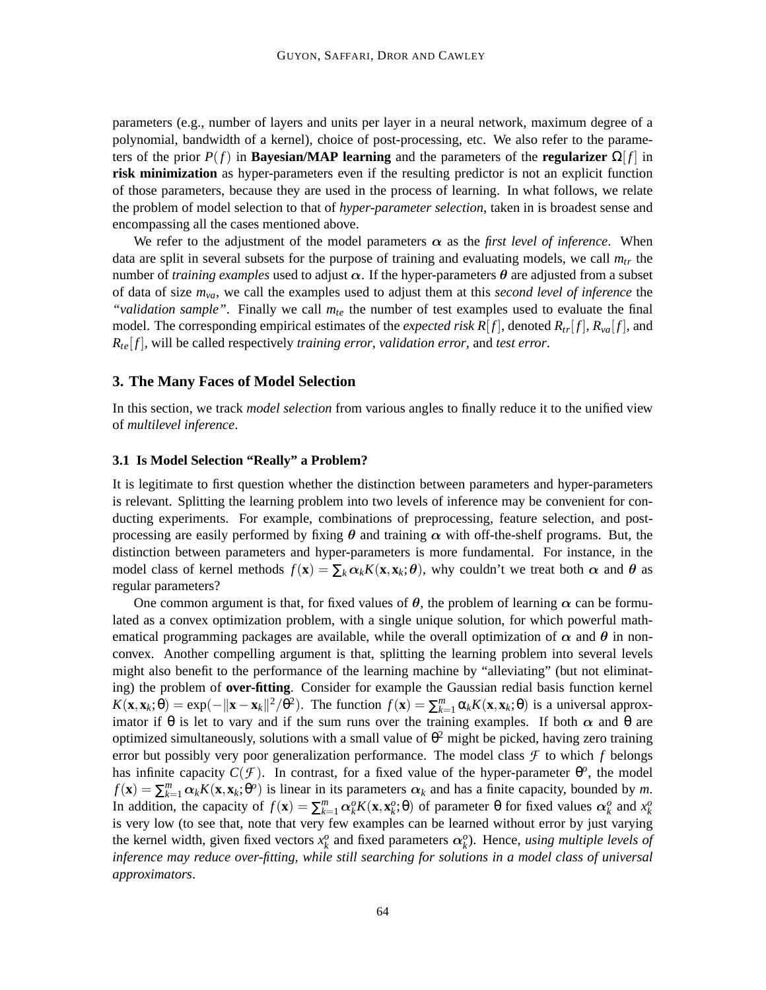parameters (e.g., number of layers and units per layer in a neural network, maximum degree of a polynomial, bandwidth of a kernel), choice of post-processing, etc. We also refer to the parameters of the prior  $P(f)$  in **Bayesian/MAP learning** and the parameters of the **regularizer**  $\Omega[f]$  in **risk minimization** as hyper-parameters even if the resulting predictor is not an explicit function of those parameters, because they are used in the process of learning. In what follows, we relate the problem of model selection to that of *hyper-parameter selection*, taken in is broadest sense and encompassing all the cases mentioned above.

We refer to the adjustment of the model parameters  $\alpha$  as the *first level of inference*. When data are split in several subsets for the purpose of training and evaluating models, we call  $m_{tr}$  the number of *training examples* used to adjust  $\alpha$ . If the hyper-parameters  $\theta$  are adjusted from a subset of data of size *mva*, we call the examples used to adjust them at this *second level of inference* the *"validation sample"*. Finally we call *mte* the number of test examples used to evaluate the final model. The corresponding empirical estimates of the *expected risk R[f]*, denoted  $R_{tr}[f]$ ,  $R_{va}[f]$ , and *Rte*[ *f* ], will be called respectively *training error*, *validation error*, and *test error*.

# **3. The Many Faces of Model Selection**

In this section, we track *model selection* from various angles to finally reduce it to the unified view of *multilevel inference*.

# **3.1 Is Model Selection "Really" a Problem?**

It is legitimate to first question whether the distinction between parameters and hyper-parameters is relevant. Splitting the learning problem into two levels of inference may be convenient for conducting experiments. For example, combinations of preprocessing, feature selection, and postprocessing are easily performed by fixing  $\theta$  and training  $\alpha$  with off-the-shelf programs. But, the distinction between parameters and hyper-parameters is more fundamental. For instance, in the model class of kernel methods  $f(\mathbf{x}) = \sum_k \alpha_k K(\mathbf{x}, \mathbf{x}_k; \theta)$ , why couldn't we treat both  $\alpha$  and  $\theta$  as regular parameters?

One common argument is that, for fixed values of  $\theta$ , the problem of learning  $\alpha$  can be formulated as a convex optimization problem, with a single unique solution, for which powerful mathematical programming packages are available, while the overall optimization of  $\alpha$  and  $\theta$  in nonconvex. Another compelling argument is that, splitting the learning problem into several levels might also benefit to the performance of the learning machine by "alleviating" (but not eliminating) the problem of **over-fitting**. Consider for example the Gaussian redial basis function kernel  $K(\mathbf{x}, \mathbf{x}_k; \theta) = \exp(-\|\mathbf{x} - \mathbf{x}_k\|^2 / \theta^2)$ . The function  $f(\mathbf{x}) = \sum_{k=1}^m \alpha_k K(\mathbf{x}, \mathbf{x}_k; \theta)$  is a universal approximator if  $\theta$  is let to vary and if the sum runs over the training examples. If both  $\alpha$  and  $\theta$  are optimized simultaneously, solutions with a small value of  $\theta^2$  might be picked, having zero training error but possibly very poor generalization performance. The model class  $\mathcal F$  to which  $f$  belongs has infinite capacity  $C(\mathcal{F})$ . In contrast, for a fixed value of the hyper-parameter  $\theta^o$ , the model  $f(\mathbf{x}) = \sum_{k=1}^{m} \alpha_k K(\mathbf{x}, \mathbf{x}_k; \theta^o)$  is linear in its parameters  $\alpha_k$  and has a finite capacity, bounded by *m*. In addition, the capacity of  $f(\mathbf{x}) = \sum_{k=1}^{m} \alpha_k^{\circ} K(\mathbf{x}, \mathbf{x}_k^{\circ}; \theta)$  of parameter  $\theta$  for fixed values  $\alpha_k^{\circ}$  and  $x_k^{\circ}$ is very low (to see that, note that very few examples can be learned without error by just varying the kernel width, given fixed vectors  $x_k^o$  and fixed parameters  $\alpha_k^o$ ). Hence, *using multiple levels of inference may reduce over-fitting, while still searching for solutions in a model class of universal approximators*.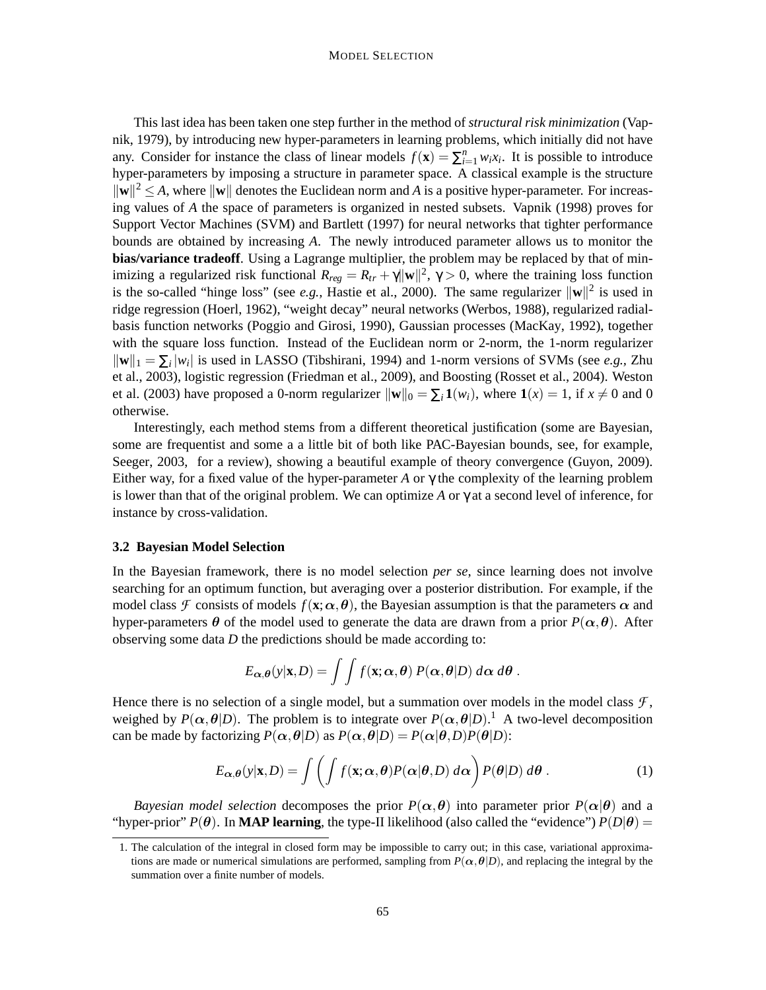This last idea has been taken one step further in the method of *structural risk minimization* (Vapnik, 1979), by introducing new hyper-parameters in learning problems, which initially did not have any. Consider for instance the class of linear models  $f(\mathbf{x}) = \sum_{i=1}^{n} w_i x_i$ . It is possible to introduce hyper-parameters by imposing a structure in parameter space. A classical example is the structure  $\|\mathbf{w}\|^2 \leq A$ , where  $\|\mathbf{w}\|$  denotes the Euclidean norm and *A* is a positive hyper-parameter. For increasing values of *A* the space of parameters is organized in nested subsets. Vapnik (1998) proves for Support Vector Machines (SVM) and Bartlett (1997) for neural networks that tighter performance bounds are obtained by increasing *A*. The newly introduced parameter allows us to monitor the **bias/variance tradeoff**. Using a Lagrange multiplier, the problem may be replaced by that of minimizing a regularized risk functional  $R_{reg} = R_{tr} + \gamma ||\mathbf{w}||^2$ ,  $\gamma > 0$ , where the training loss function is the so-called "hinge loss" (see *e.g.*, Hastie et al., 2000). The same regularizer  $\|\mathbf{w}\|^2$  is used in ridge regression (Hoerl, 1962), "weight decay" neural networks (Werbos, 1988), regularized radialbasis function networks (Poggio and Girosi, 1990), Gaussian processes (MacKay, 1992), together with the square loss function. Instead of the Euclidean norm or 2-norm, the 1-norm regularizer  $\|\mathbf{w}\|_1 = \sum_i |w_i|$  is used in LASSO (Tibshirani, 1994) and 1-norm versions of SVMs (see *e.g., Zhu*) et al., 2003), logistic regression (Friedman et al., 2009), and Boosting (Rosset et al., 2004). Weston et al. (2003) have proposed a 0-norm regularizer  $\|\mathbf{w}\|_0 = \sum_i \mathbf{1}(w_i)$ , where  $\mathbf{1}(x) = 1$ , if  $x \neq 0$  and 0 otherwise.

Interestingly, each method stems from a different theoretical justification (some are Bayesian, some are frequentist and some a a little bit of both like PAC-Bayesian bounds, see, for example, Seeger, 2003, for a review), showing a beautiful example of theory convergence (Guyon, 2009). Either way, for a fixed value of the hyper-parameter *A* or  $\gamma$  the complexity of the learning problem is lower than that of the original problem. We can optimize A or  $\gamma$  at a second level of inference, for instance by cross-validation.

#### **3.2 Bayesian Model Selection**

In the Bayesian framework, there is no model selection *per se*, since learning does not involve searching for an optimum function, but averaging over a posterior distribution. For example, if the model class *F* consists of models  $f(\mathbf{x}; \alpha, \theta)$ , the Bayesian assumption is that the parameters  $\alpha$  and hyper-parameters  $\theta$  of the model used to generate the data are drawn from a prior  $P(\alpha, \theta)$ . After observing some data *D* the predictions should be made according to:

$$
E_{\boldsymbol{\alpha},\boldsymbol{\theta}}(\mathbf{y}|\mathbf{x},D)=\int\int f(\mathbf{x};\boldsymbol{\alpha},\boldsymbol{\theta})\,P(\boldsymbol{\alpha},\boldsymbol{\theta}|D)\,d\boldsymbol{\alpha}\,d\boldsymbol{\theta}.
$$

Hence there is no selection of a single model, but a summation over models in the model class  $\mathcal{F}$ , weighed by  $P(\alpha, \theta|D)$ . The problem is to integrate over  $P(\alpha, \theta|D)$ .<sup>1</sup> A two-level decomposition can be made by factorizing  $P(\alpha, \theta|D)$  as  $P(\alpha, \theta|D) = P(\alpha|\theta, D)P(\theta|D)$ :

$$
E_{\alpha,\theta}(y|\mathbf{x},D) = \int \left( \int f(\mathbf{x}; \alpha, \theta) P(\alpha|\theta, D) \, d\alpha \right) P(\theta|D) \, d\theta \,. \tag{1}
$$

*Bayesian model selection* decomposes the prior  $P(\alpha, \theta)$  into parameter prior  $P(\alpha | \theta)$  and a "hyper-prior"  $P(\theta)$ . In **MAP learning**, the type-II likelihood (also called the "evidence")  $P(D|\theta)$  =

<sup>1.</sup> The calculation of the integral in closed form may be impossible to carry out; in this case, variational approximations are made or numerical simulations are performed, sampling from  $P(\alpha, \theta|D)$ , and replacing the integral by the summation over a finite number of models.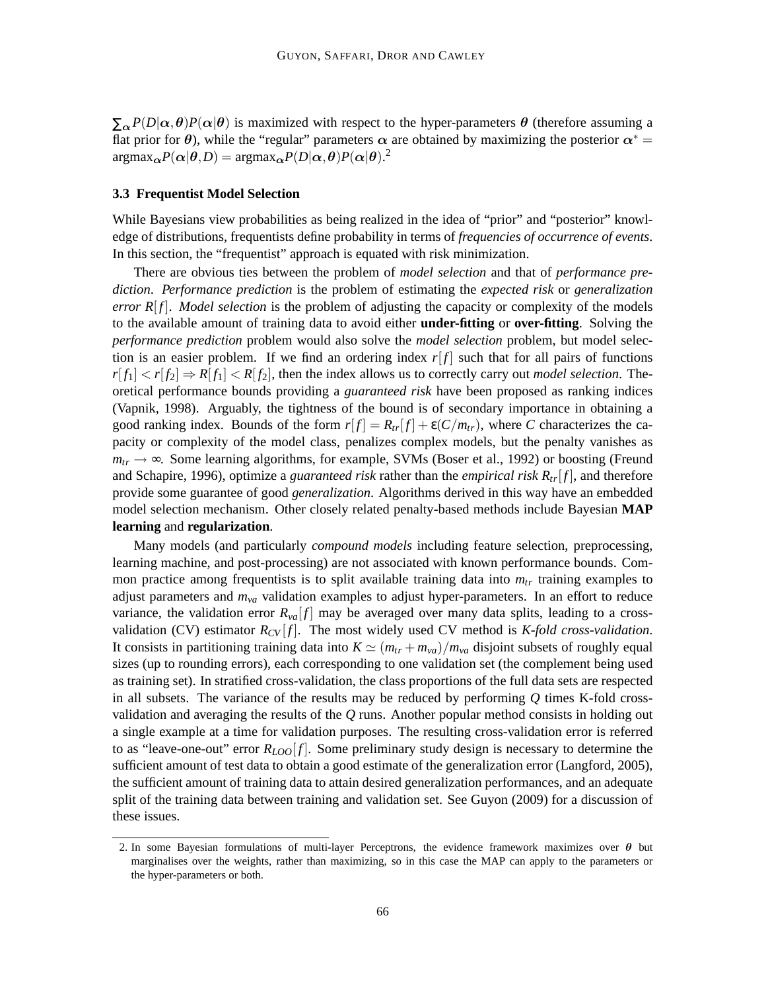$\sum_{\alpha} P(D|\alpha, \theta) P(\alpha|\theta)$  is maximized with respect to the hyper-parameters  $\theta$  (therefore assuming a flat prior for  $\theta$ ), while the "regular" parameters  $\alpha$  are obtained by maximizing the posterior  $\alpha^*$  =  $argmax_{\alpha} P(\alpha | \theta, D) = argmax_{\alpha} P(D | \alpha, \theta) P(\alpha | \theta).$ <sup>2</sup>

#### **3.3 Frequentist Model Selection**

While Bayesians view probabilities as being realized in the idea of "prior" and "posterior" knowledge of distributions, frequentists define probability in terms of *frequencies of occurrence of events*. In this section, the "frequentist" approach is equated with risk minimization.

There are obvious ties between the problem of *model selection* and that of *performance prediction*. *Performance prediction* is the problem of estimating the *expected risk* or *generalization error*  $R[f]$ . *Model selection* is the problem of adjusting the capacity or complexity of the models to the available amount of training data to avoid either **under-fitting** or **over-fitting**. Solving the *performance prediction* problem would also solve the *model selection* problem, but model selection is an easier problem. If we find an ordering index  $r[f]$  such that for all pairs of functions  $r[f_1] < r[f_2] \Rightarrow R[f_1] < R[f_2]$ , then the index allows us to correctly carry out *model selection*. Theoretical performance bounds providing a *guaranteed risk* have been proposed as ranking indices (Vapnik, 1998). Arguably, the tightness of the bound is of secondary importance in obtaining a good ranking index. Bounds of the form  $r[f] = R_{tr}[f] + \varepsilon(C/m_{tr})$ , where *C* characterizes the capacity or complexity of the model class, penalizes complex models, but the penalty vanishes as  $m_{tr} \rightarrow \infty$ . Some learning algorithms, for example, SVMs (Boser et al., 1992) or boosting (Freund and Schapire, 1996), optimize a *guaranteed risk* rather than the *empirical risk Rtr*[ *f* ], and therefore provide some guarantee of good *generalization*. Algorithms derived in this way have an embedded model selection mechanism. Other closely related penalty-based methods include Bayesian **MAP learning** and **regularization**.

Many models (and particularly *compound models* including feature selection, preprocessing, learning machine, and post-processing) are not associated with known performance bounds. Common practice among frequentists is to split available training data into *mtr* training examples to adjust parameters and *mva* validation examples to adjust hyper-parameters. In an effort to reduce variance, the validation error  $R_{va}[f]$  may be averaged over many data splits, leading to a crossvalidation (CV) estimator  $R_{CV}[f]$ . The most widely used CV method is *K-fold cross-validation*. It consists in partitioning training data into  $K \simeq (m_{tr} + m_{va})/m_{va}$  disjoint subsets of roughly equal sizes (up to rounding errors), each corresponding to one validation set (the complement being used as training set). In stratified cross-validation, the class proportions of the full data sets are respected in all subsets. The variance of the results may be reduced by performing *Q* times K-fold crossvalidation and averaging the results of the *Q* runs. Another popular method consists in holding out a single example at a time for validation purposes. The resulting cross-validation error is referred to as "leave-one-out" error  $R_{LOO}[f]$ . Some preliminary study design is necessary to determine the sufficient amount of test data to obtain a good estimate of the generalization error (Langford, 2005), the sufficient amount of training data to attain desired generalization performances, and an adequate split of the training data between training and validation set. See Guyon (2009) for a discussion of these issues.

<sup>2.</sup> In some Bayesian formulations of multi-layer Perceptrons, the evidence framework maximizes over  $\theta$  but marginalises over the weights, rather than maximizing, so in this case the MAP can apply to the parameters or the hyper-parameters or both.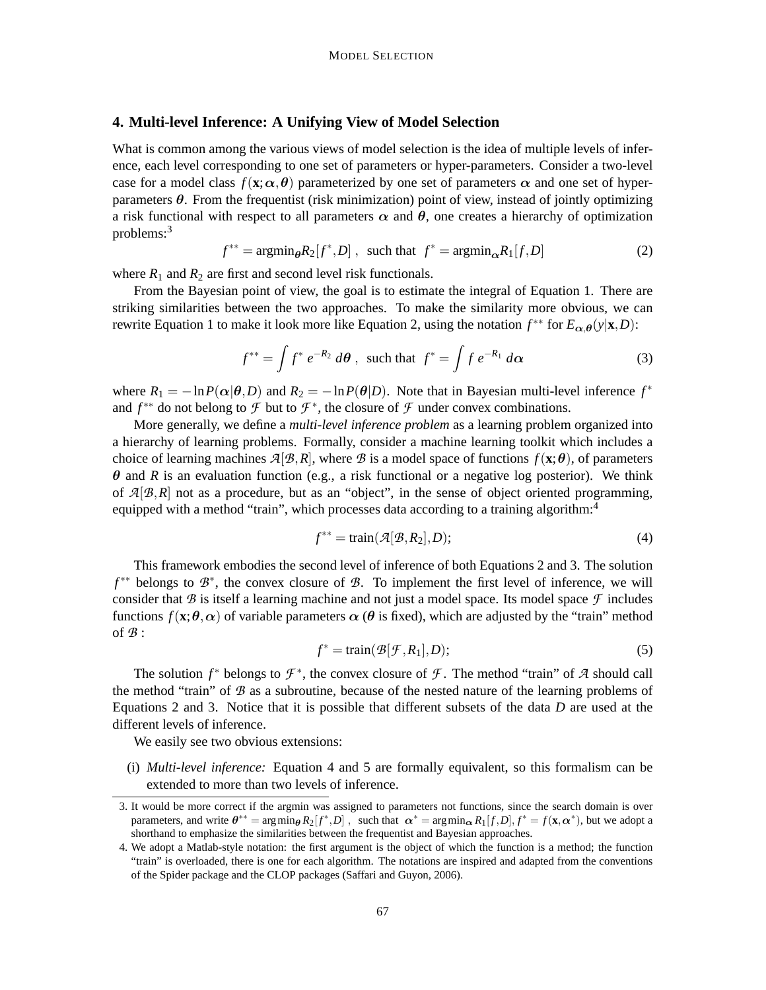# **4. Multi-level Inference: A Unifying View of Model Selection**

What is common among the various views of model selection is the idea of multiple levels of inference, each level corresponding to one set of parameters or hyper-parameters. Consider a two-level case for a model class  $f(\mathbf{x}; \alpha, \theta)$  parameterized by one set of parameters  $\alpha$  and one set of hyperparameters  $\theta$ . From the frequentist (risk minimization) point of view, instead of jointly optimizing a risk functional with respect to all parameters  $\alpha$  and  $\theta$ , one creates a hierarchy of optimization problems:<sup>3</sup>

$$
f^{**} = \operatorname{argmin}_{\theta} R_2[f^*, D], \text{ such that } f^* = \operatorname{argmin}_{\alpha} R_1[f, D] \tag{2}
$$

where  $R_1$  and  $R_2$  are first and second level risk functionals.

From the Bayesian point of view, the goal is to estimate the integral of Equation 1. There are striking similarities between the two approaches. To make the similarity more obvious, we can rewrite Equation 1 to make it look more like Equation 2, using the notation  $f^{**}$  for  $E_{\alpha,\theta}(y|\mathbf{x},D)$ :

$$
f^{**} = \int f^* e^{-R_2} d\theta
$$
, such that  $f^* = \int f e^{-R_1} d\alpha$  (3)

where  $R_1 = -\ln P(\alpha|\theta, D)$  and  $R_2 = -\ln P(\theta|D)$ . Note that in Bayesian multi-level inference  $f^*$ and  $f^{**}$  do not belong to  $\mathcal F$  but to  $\mathcal F^*$ , the closure of  $\mathcal F$  under convex combinations.

More generally, we define a *multi-level inference problem* as a learning problem organized into a hierarchy of learning problems. Formally, consider a machine learning toolkit which includes a choice of learning machines  $A[\mathcal{B}, R]$ , where  $\mathcal{B}$  is a model space of functions  $f(\mathbf{x}; \theta)$ , of parameters  $\theta$  and *R* is an evaluation function (e.g., a risk functional or a negative log posterior). We think of  $A[\mathcal{B},R]$  not as a procedure, but as an "object", in the sense of object oriented programming, equipped with a method "train", which processes data according to a training algorithm: $4$ 

$$
f^{**} = \text{train}(\mathcal{A}[\mathcal{B}, R_2], D); \tag{4}
$$

This framework embodies the second level of inference of both Equations 2 and 3. The solution *f*<sup>\*\*</sup> belongs to  $\mathcal{B}^*$ , the convex closure of  $\mathcal{B}$ . To implement the first level of inference, we will consider that  $\mathcal B$  is itself a learning machine and not just a model space. Its model space  $\mathcal F$  includes functions  $f(\mathbf{x}; \theta, \alpha)$  of variable parameters  $\alpha$  ( $\theta$  is fixed), which are adjusted by the "train" method of *B* :

$$
f^* = \text{train}(\mathcal{B}[\mathcal{F}, R_1], D); \tag{5}
$$

The solution  $f^*$  belongs to  $\mathcal{F}^*$ , the convex closure of  $\mathcal{F}$ . The method "train" of  $\mathcal{A}$  should call the method "train" of *B* as a subroutine, because of the nested nature of the learning problems of Equations 2 and 3. Notice that it is possible that different subsets of the data *D* are used at the different levels of inference.

We easily see two obvious extensions:

(i) *Multi-level inference:* Equation 4 and 5 are formally equivalent, so this formalism can be extended to more than two levels of inference.

<sup>3.</sup> It would be more correct if the argmin was assigned to parameters not functions, since the search domain is over parameters, and write  $\theta^{**} = \arg \min_{\theta} R_2[f^*, D]$ , such that  $\alpha^* = \arg \min_{\alpha} R_1[f, D], f^* = f(\mathbf{x}, \alpha^*)$ , but we adopt a shorthand to emphasize the similarities between the frequentist and Bayesian approaches.

<sup>4.</sup> We adopt a Matlab-style notation: the first argument is the object of which the function is a method; the function "train" is overloaded, there is one for each algorithm. The notations are inspired and adapted from the conventions of the Spider package and the CLOP packages (Saffari and Guyon, 2006).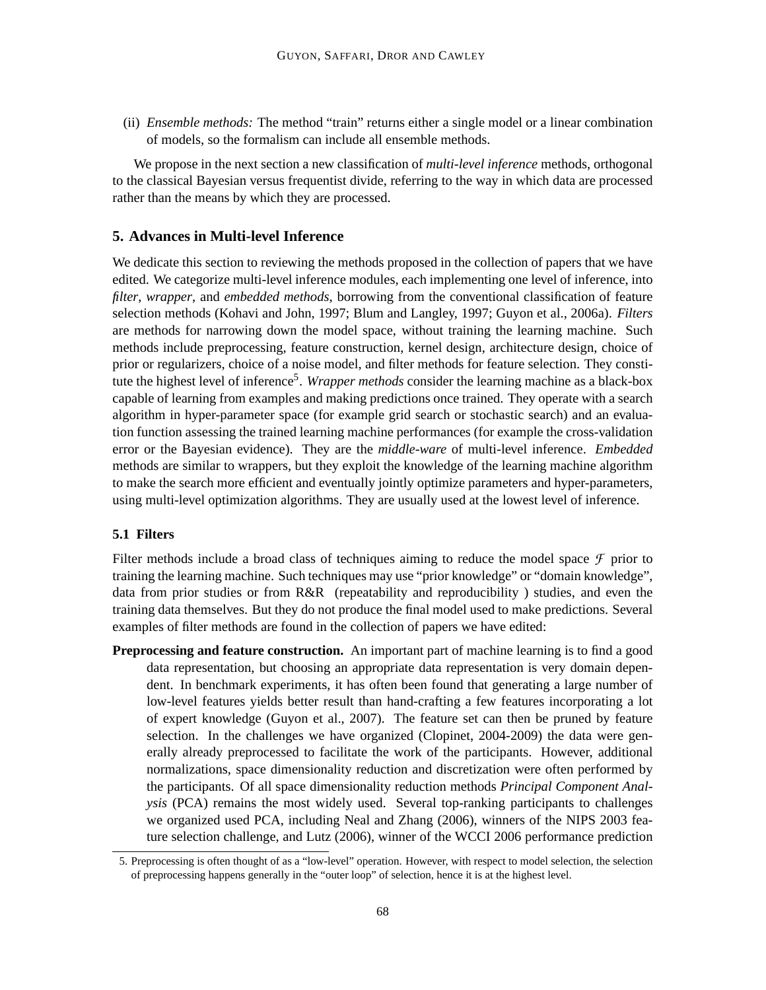(ii) *Ensemble methods:* The method "train" returns either a single model or a linear combination of models, so the formalism can include all ensemble methods.

We propose in the next section a new classification of *multi-level inference* methods, orthogonal to the classical Bayesian versus frequentist divide, referring to the way in which data are processed rather than the means by which they are processed.

# **5. Advances in Multi-level Inference**

We dedicate this section to reviewing the methods proposed in the collection of papers that we have edited. We categorize multi-level inference modules, each implementing one level of inference, into *filter*, *wrapper*, and *embedded methods*, borrowing from the conventional classification of feature selection methods (Kohavi and John, 1997; Blum and Langley, 1997; Guyon et al., 2006a). *Filters* are methods for narrowing down the model space, without training the learning machine. Such methods include preprocessing, feature construction, kernel design, architecture design, choice of prior or regularizers, choice of a noise model, and filter methods for feature selection. They constitute the highest level of inference<sup>5</sup>. *Wrapper methods* consider the learning machine as a black-box capable of learning from examples and making predictions once trained. They operate with a search algorithm in hyper-parameter space (for example grid search or stochastic search) and an evaluation function assessing the trained learning machine performances (for example the cross-validation error or the Bayesian evidence). They are the *middle-ware* of multi-level inference. *Embedded* methods are similar to wrappers, but they exploit the knowledge of the learning machine algorithm to make the search more efficient and eventually jointly optimize parameters and hyper-parameters, using multi-level optimization algorithms. They are usually used at the lowest level of inference.

# **5.1 Filters**

Filter methods include a broad class of techniques aiming to reduce the model space  $\mathcal F$  prior to training the learning machine. Such techniques may use "prior knowledge" or "domain knowledge", data from prior studies or from R&R (repeatability and reproducibility ) studies, and even the training data themselves. But they do not produce the final model used to make predictions. Several examples of filter methods are found in the collection of papers we have edited:

**Preprocessing and feature construction.** An important part of machine learning is to find a good data representation, but choosing an appropriate data representation is very domain dependent. In benchmark experiments, it has often been found that generating a large number of low-level features yields better result than hand-crafting a few features incorporating a lot of expert knowledge (Guyon et al., 2007). The feature set can then be pruned by feature selection. In the challenges we have organized (Clopinet, 2004-2009) the data were generally already preprocessed to facilitate the work of the participants. However, additional normalizations, space dimensionality reduction and discretization were often performed by the participants. Of all space dimensionality reduction methods *Principal Component Analysis* (PCA) remains the most widely used. Several top-ranking participants to challenges we organized used PCA, including Neal and Zhang (2006), winners of the NIPS 2003 feature selection challenge, and Lutz (2006), winner of the WCCI 2006 performance prediction

<sup>5.</sup> Preprocessing is often thought of as a "low-level" operation. However, with respect to model selection, the selection of preprocessing happens generally in the "outer loop" of selection, hence it is at the highest level.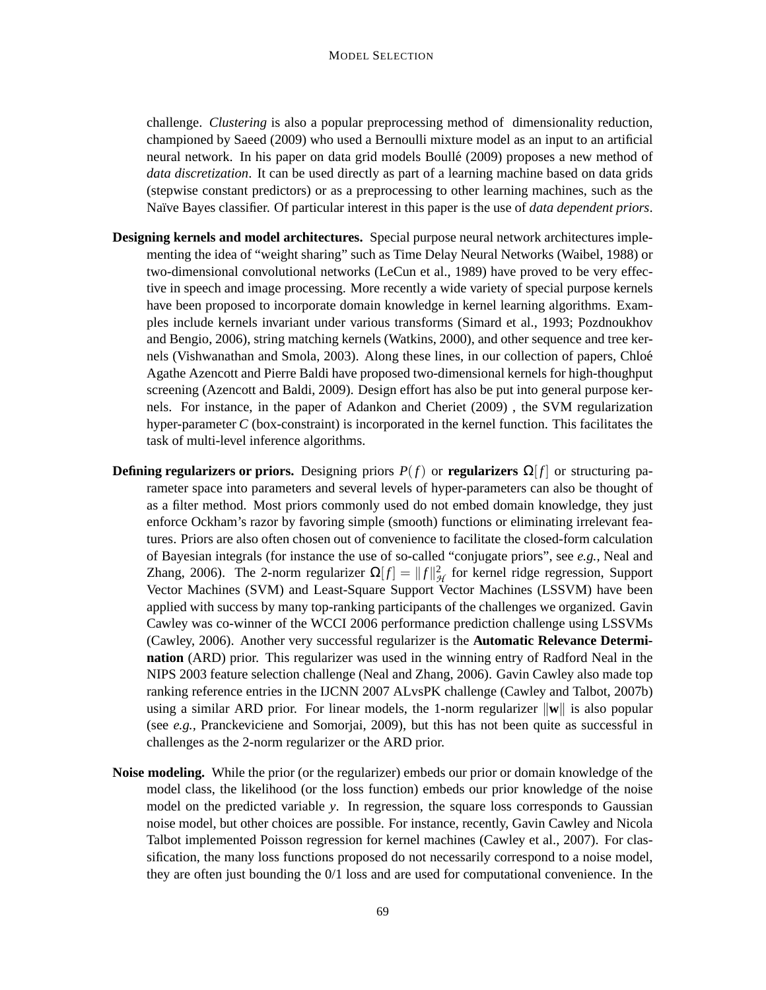challenge. *Clustering* is also a popular preprocessing method of dimensionality reduction, championed by Saeed (2009) who used a Bernoulli mixture model as an input to an artificial neural network. In his paper on data grid models Boulle (2009) proposes a new method of ´ *data discretization*. It can be used directly as part of a learning machine based on data grids (stepwise constant predictors) or as a preprocessing to other learning machines, such as the Na¨ıve Bayes classifier. Of particular interest in this paper is the use of *data dependent priors*.

- **Designing kernels and model architectures.** Special purpose neural network architectures implementing the idea of "weight sharing" such as Time Delay Neural Networks (Waibel, 1988) or two-dimensional convolutional networks (LeCun et al., 1989) have proved to be very effective in speech and image processing. More recently a wide variety of special purpose kernels have been proposed to incorporate domain knowledge in kernel learning algorithms. Examples include kernels invariant under various transforms (Simard et al., 1993; Pozdnoukhov and Bengio, 2006), string matching kernels (Watkins, 2000), and other sequence and tree kernels (Vishwanathan and Smola, 2003). Along these lines, in our collection of papers, Chloe´ Agathe Azencott and Pierre Baldi have proposed two-dimensional kernels for high-thoughput screening (Azencott and Baldi, 2009). Design effort has also be put into general purpose kernels. For instance, in the paper of Adankon and Cheriet (2009) , the SVM regularization hyper-parameter *C* (box-constraint) is incorporated in the kernel function. This facilitates the task of multi-level inference algorithms.
- **Defining regularizers or priors.** Designing priors  $P(f)$  or **regularizers**  $\Omega[f]$  or structuring parameter space into parameters and several levels of hyper-parameters can also be thought of as a filter method. Most priors commonly used do not embed domain knowledge, they just enforce Ockham's razor by favoring simple (smooth) functions or eliminating irrelevant features. Priors are also often chosen out of convenience to facilitate the closed-form calculation of Bayesian integrals (for instance the use of so-called "conjugate priors", see *e.g.,* Neal and Zhang, 2006). The 2-norm regularizer  $\Omega[f] = ||f||^2_{\mathcal{H}}$  for kernel ridge regression, Support Vector Machines (SVM) and Least-Square Support Vector Machines (LSSVM) have been applied with success by many top-ranking participants of the challenges we organized. Gavin Cawley was co-winner of the WCCI 2006 performance prediction challenge using LSSVMs (Cawley, 2006). Another very successful regularizer is the **Automatic Relevance Determination** (ARD) prior. This regularizer was used in the winning entry of Radford Neal in the NIPS 2003 feature selection challenge (Neal and Zhang, 2006). Gavin Cawley also made top ranking reference entries in the IJCNN 2007 ALvsPK challenge (Cawley and Talbot, 2007b) using a similar ARD prior. For linear models, the 1-norm regularizer  $\|\mathbf{w}\|$  is also popular (see *e.g.,* Pranckeviciene and Somorjai, 2009), but this has not been quite as successful in challenges as the 2-norm regularizer or the ARD prior.
- **Noise modeling.** While the prior (or the regularizer) embeds our prior or domain knowledge of the model class, the likelihood (or the loss function) embeds our prior knowledge of the noise model on the predicted variable *y*. In regression, the square loss corresponds to Gaussian noise model, but other choices are possible. For instance, recently, Gavin Cawley and Nicola Talbot implemented Poisson regression for kernel machines (Cawley et al., 2007). For classification, the many loss functions proposed do not necessarily correspond to a noise model, they are often just bounding the 0/1 loss and are used for computational convenience. In the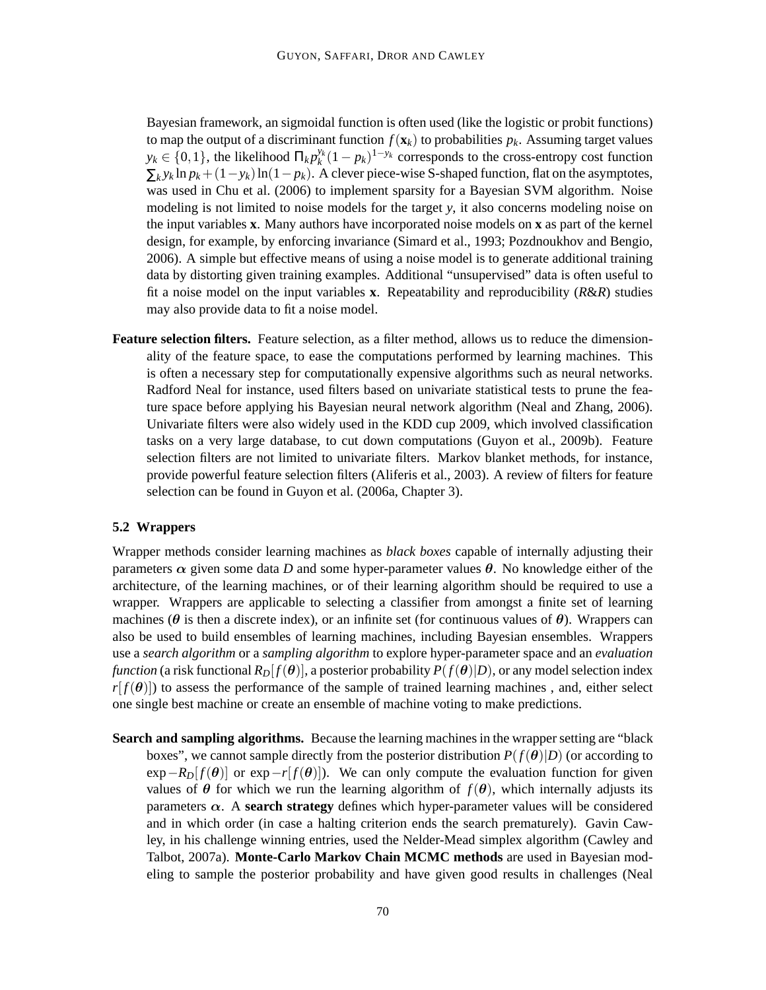Bayesian framework, an sigmoidal function is often used (like the logistic or probit functions) to map the output of a discriminant function  $f(\mathbf{x}_k)$  to probabilities  $p_k$ . Assuming target values  $y_k \in \{0, 1\}$ , the likelihood  $\Pi_k p_k^{y_k} (1 - p_k)^{1 - y_k}$  corresponds to the cross-entropy cost function  $\sum_k y_k \ln p_k + (1 - y_k) \ln(1 - p_k)$ . A clever piece-wise S-shaped function, flat on the asymptotes, was used in Chu et al. (2006) to implement sparsity for a Bayesian SVM algorithm. Noise modeling is not limited to noise models for the target *y*, it also concerns modeling noise on the input variables **x**. Many authors have incorporated noise models on **x** as part of the kernel design, for example, by enforcing invariance (Simard et al., 1993; Pozdnoukhov and Bengio, 2006). A simple but effective means of using a noise model is to generate additional training data by distorting given training examples. Additional "unsupervised" data is often useful to fit a noise model on the input variables **x**. Repeatability and reproducibility (*R*&*R*) studies may also provide data to fit a noise model.

**Feature selection filters.** Feature selection, as a filter method, allows us to reduce the dimensionality of the feature space, to ease the computations performed by learning machines. This is often a necessary step for computationally expensive algorithms such as neural networks. Radford Neal for instance, used filters based on univariate statistical tests to prune the feature space before applying his Bayesian neural network algorithm (Neal and Zhang, 2006). Univariate filters were also widely used in the KDD cup 2009, which involved classification tasks on a very large database, to cut down computations (Guyon et al., 2009b). Feature selection filters are not limited to univariate filters. Markov blanket methods, for instance, provide powerful feature selection filters (Aliferis et al., 2003). A review of filters for feature selection can be found in Guyon et al. (2006a, Chapter 3).

#### **5.2 Wrappers**

Wrapper methods consider learning machines as *black boxes* capable of internally adjusting their parameters  $\alpha$  given some data *D* and some hyper-parameter values  $\theta$ . No knowledge either of the architecture, of the learning machines, or of their learning algorithm should be required to use a wrapper. Wrappers are applicable to selecting a classifier from amongst a finite set of learning machines ( $\theta$  is then a discrete index), or an infinite set (for continuous values of  $\theta$ ). Wrappers can also be used to build ensembles of learning machines, including Bayesian ensembles. Wrappers use a *search algorithm* or a *sampling algorithm* to explore hyper-parameter space and an *evaluation function* (a risk functional  $R_D[f(\theta)]$ , a posterior probability  $P(f(\theta)|D)$ , or any model selection index  $r[f(\theta)]$ ) to assess the performance of the sample of trained learning machines, and, either select one single best machine or create an ensemble of machine voting to make predictions.

**Search and sampling algorithms.** Because the learning machines in the wrapper setting are "black boxes", we cannot sample directly from the posterior distribution  $P(f(\theta)|D)$  (or according to  $\exp$ *-R<sub>D</sub>*[ $f(\theta)$ ] or  $\exp$ *-r*[ $f(\theta)$ ]). We can only compute the evaluation function for given values of  $\theta$  for which we run the learning algorithm of  $f(\theta)$ , which internally adjusts its parameters  $\alpha$ . A **search strategy** defines which hyper-parameter values will be considered and in which order (in case a halting criterion ends the search prematurely). Gavin Cawley, in his challenge winning entries, used the Nelder-Mead simplex algorithm (Cawley and Talbot, 2007a). **Monte-Carlo Markov Chain MCMC methods** are used in Bayesian modeling to sample the posterior probability and have given good results in challenges (Neal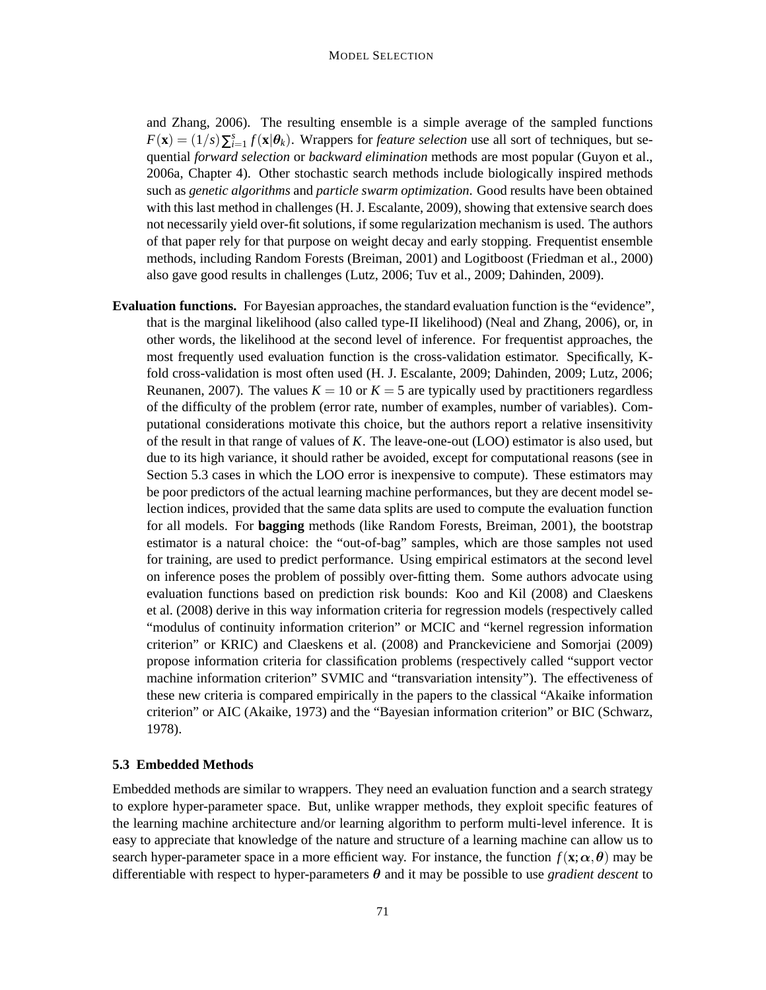and Zhang, 2006). The resulting ensemble is a simple average of the sampled functions  $F(\mathbf{x}) = (1/s)\sum_{i=1}^{s} f(\mathbf{x}|\boldsymbol{\theta}_k)$ . Wrappers for *feature selection* use all sort of techniques, but sequential *forward selection* or *backward elimination* methods are most popular (Guyon et al., 2006a, Chapter 4). Other stochastic search methods include biologically inspired methods such as *genetic algorithms* and *particle swarm optimization*. Good results have been obtained with this last method in challenges (H. J. Escalante, 2009), showing that extensive search does not necessarily yield over-fit solutions, if some regularization mechanism is used. The authors of that paper rely for that purpose on weight decay and early stopping. Frequentist ensemble methods, including Random Forests (Breiman, 2001) and Logitboost (Friedman et al., 2000) also gave good results in challenges (Lutz, 2006; Tuv et al., 2009; Dahinden, 2009).

**Evaluation functions.** For Bayesian approaches, the standard evaluation function is the "evidence", that is the marginal likelihood (also called type-II likelihood) (Neal and Zhang, 2006), or, in other words, the likelihood at the second level of inference. For frequentist approaches, the most frequently used evaluation function is the cross-validation estimator. Specifically, Kfold cross-validation is most often used (H. J. Escalante, 2009; Dahinden, 2009; Lutz, 2006; Reunanen, 2007). The values  $K = 10$  or  $K = 5$  are typically used by practitioners regardless of the difficulty of the problem (error rate, number of examples, number of variables). Computational considerations motivate this choice, but the authors report a relative insensitivity of the result in that range of values of *K*. The leave-one-out (LOO) estimator is also used, but due to its high variance, it should rather be avoided, except for computational reasons (see in Section 5.3 cases in which the LOO error is inexpensive to compute). These estimators may be poor predictors of the actual learning machine performances, but they are decent model selection indices, provided that the same data splits are used to compute the evaluation function for all models. For **bagging** methods (like Random Forests, Breiman, 2001), the bootstrap estimator is a natural choice: the "out-of-bag" samples, which are those samples not used for training, are used to predict performance. Using empirical estimators at the second level on inference poses the problem of possibly over-fitting them. Some authors advocate using evaluation functions based on prediction risk bounds: Koo and Kil (2008) and Claeskens et al. (2008) derive in this way information criteria for regression models (respectively called "modulus of continuity information criterion" or MCIC and "kernel regression information criterion" or KRIC) and Claeskens et al. (2008) and Pranckeviciene and Somorjai (2009) propose information criteria for classification problems (respectively called "support vector machine information criterion" SVMIC and "transvariation intensity"). The effectiveness of these new criteria is compared empirically in the papers to the classical "Akaike information criterion" or AIC (Akaike, 1973) and the "Bayesian information criterion" or BIC (Schwarz, 1978).

# **5.3 Embedded Methods**

Embedded methods are similar to wrappers. They need an evaluation function and a search strategy to explore hyper-parameter space. But, unlike wrapper methods, they exploit specific features of the learning machine architecture and/or learning algorithm to perform multi-level inference. It is easy to appreciate that knowledge of the nature and structure of a learning machine can allow us to search hyper-parameter space in a more efficient way. For instance, the function  $f(\mathbf{x}; \alpha, \theta)$  may be differentiable with respect to hyper-parameters  $\theta$  and it may be possible to use *gradient descent* to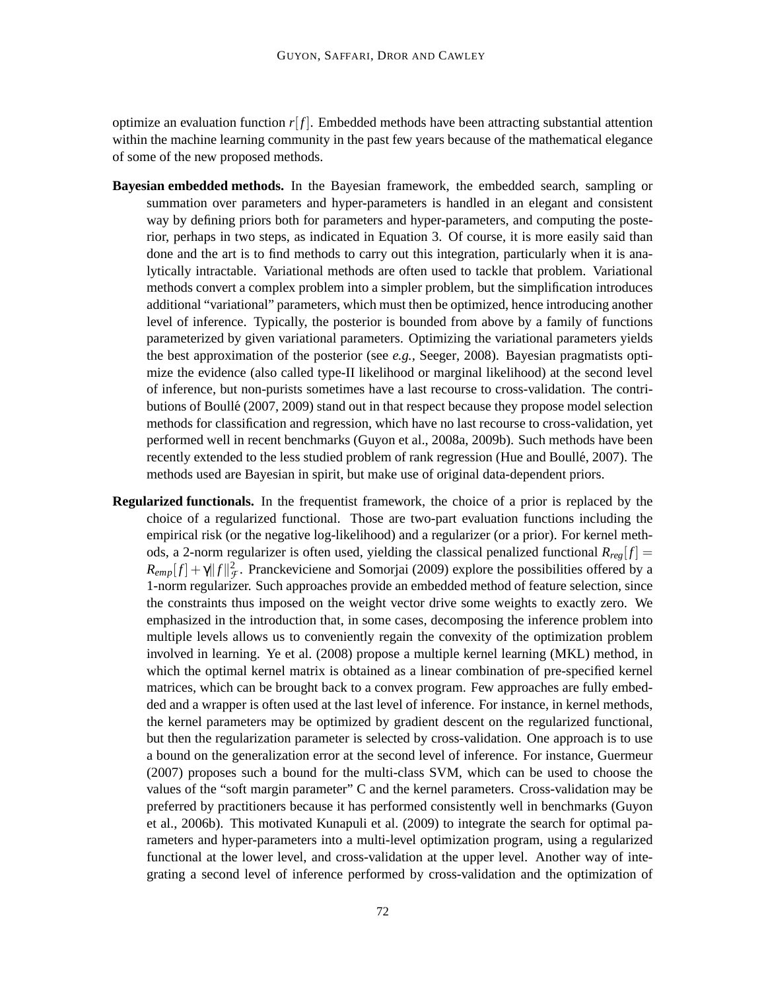optimize an evaluation function  $r[f]$ . Embedded methods have been attracting substantial attention within the machine learning community in the past few years because of the mathematical elegance of some of the new proposed methods.

- **Bayesian embedded methods.** In the Bayesian framework, the embedded search, sampling or summation over parameters and hyper-parameters is handled in an elegant and consistent way by defining priors both for parameters and hyper-parameters, and computing the posterior, perhaps in two steps, as indicated in Equation 3. Of course, it is more easily said than done and the art is to find methods to carry out this integration, particularly when it is analytically intractable. Variational methods are often used to tackle that problem. Variational methods convert a complex problem into a simpler problem, but the simplification introduces additional "variational" parameters, which must then be optimized, hence introducing another level of inference. Typically, the posterior is bounded from above by a family of functions parameterized by given variational parameters. Optimizing the variational parameters yields the best approximation of the posterior (see *e.g.,* Seeger, 2008). Bayesian pragmatists optimize the evidence (also called type-II likelihood or marginal likelihood) at the second level of inference, but non-purists sometimes have a last recourse to cross-validation. The contributions of Boullé (2007, 2009) stand out in that respect because they propose model selection methods for classification and regression, which have no last recourse to cross-validation, yet performed well in recent benchmarks (Guyon et al., 2008a, 2009b). Such methods have been recently extended to the less studied problem of rank regression (Hue and Boullé, 2007). The methods used are Bayesian in spirit, but make use of original data-dependent priors.
- **Regularized functionals.** In the frequentist framework, the choice of a prior is replaced by the choice of a regularized functional. Those are two-part evaluation functions including the empirical risk (or the negative log-likelihood) and a regularizer (or a prior). For kernel methods, a 2-norm regularizer is often used, yielding the classical penalized functional  $R_{reg}[f] =$  $R_{emp}[f] + \gamma ||f||^2 \mathcal{F}$ . Pranckeviciene and Somorjai (2009) explore the possibilities offered by a 1-norm regularizer. Such approaches provide an embedded method of feature selection, since the constraints thus imposed on the weight vector drive some weights to exactly zero. We emphasized in the introduction that, in some cases, decomposing the inference problem into multiple levels allows us to conveniently regain the convexity of the optimization problem involved in learning. Ye et al. (2008) propose a multiple kernel learning (MKL) method, in which the optimal kernel matrix is obtained as a linear combination of pre-specified kernel matrices, which can be brought back to a convex program. Few approaches are fully embedded and a wrapper is often used at the last level of inference. For instance, in kernel methods, the kernel parameters may be optimized by gradient descent on the regularized functional, but then the regularization parameter is selected by cross-validation. One approach is to use a bound on the generalization error at the second level of inference. For instance, Guermeur (2007) proposes such a bound for the multi-class SVM, which can be used to choose the values of the "soft margin parameter" C and the kernel parameters. Cross-validation may be preferred by practitioners because it has performed consistently well in benchmarks (Guyon et al., 2006b). This motivated Kunapuli et al. (2009) to integrate the search for optimal parameters and hyper-parameters into a multi-level optimization program, using a regularized functional at the lower level, and cross-validation at the upper level. Another way of integrating a second level of inference performed by cross-validation and the optimization of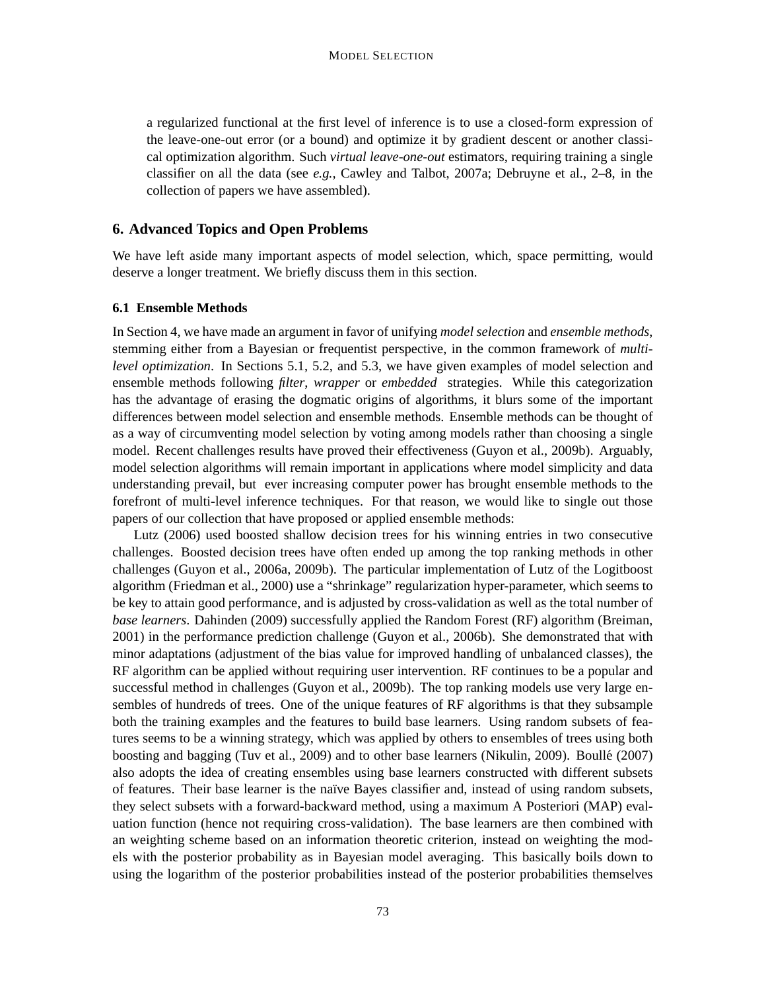a regularized functional at the first level of inference is to use a closed-form expression of the leave-one-out error (or a bound) and optimize it by gradient descent or another classical optimization algorithm. Such *virtual leave-one-out* estimators, requiring training a single classifier on all the data (see *e.g.,* Cawley and Talbot, 2007a; Debruyne et al., 2–8, in the collection of papers we have assembled).

# **6. Advanced Topics and Open Problems**

We have left aside many important aspects of model selection, which, space permitting, would deserve a longer treatment. We briefly discuss them in this section.

### **6.1 Ensemble Methods**

In Section 4, we have made an argument in favor of unifying *model selection* and *ensemble methods*, stemming either from a Bayesian or frequentist perspective, in the common framework of *multilevel optimization*. In Sections 5.1, 5.2, and 5.3, we have given examples of model selection and ensemble methods following *filter*, *wrapper* or *embedded* strategies. While this categorization has the advantage of erasing the dogmatic origins of algorithms, it blurs some of the important differences between model selection and ensemble methods. Ensemble methods can be thought of as a way of circumventing model selection by voting among models rather than choosing a single model. Recent challenges results have proved their effectiveness (Guyon et al., 2009b). Arguably, model selection algorithms will remain important in applications where model simplicity and data understanding prevail, but ever increasing computer power has brought ensemble methods to the forefront of multi-level inference techniques. For that reason, we would like to single out those papers of our collection that have proposed or applied ensemble methods:

Lutz (2006) used boosted shallow decision trees for his winning entries in two consecutive challenges. Boosted decision trees have often ended up among the top ranking methods in other challenges (Guyon et al., 2006a, 2009b). The particular implementation of Lutz of the Logitboost algorithm (Friedman et al., 2000) use a "shrinkage" regularization hyper-parameter, which seems to be key to attain good performance, and is adjusted by cross-validation as well as the total number of *base learners*. Dahinden (2009) successfully applied the Random Forest (RF) algorithm (Breiman, 2001) in the performance prediction challenge (Guyon et al., 2006b). She demonstrated that with minor adaptations (adjustment of the bias value for improved handling of unbalanced classes), the RF algorithm can be applied without requiring user intervention. RF continues to be a popular and successful method in challenges (Guyon et al., 2009b). The top ranking models use very large ensembles of hundreds of trees. One of the unique features of RF algorithms is that they subsample both the training examples and the features to build base learners. Using random subsets of features seems to be a winning strategy, which was applied by others to ensembles of trees using both boosting and bagging (Tuv et al., 2009) and to other base learners (Nikulin, 2009). Boulle (2007) ´ also adopts the idea of creating ensembles using base learners constructed with different subsets of features. Their base learner is the naïve Bayes classifier and, instead of using random subsets, they select subsets with a forward-backward method, using a maximum A Posteriori (MAP) evaluation function (hence not requiring cross-validation). The base learners are then combined with an weighting scheme based on an information theoretic criterion, instead on weighting the models with the posterior probability as in Bayesian model averaging. This basically boils down to using the logarithm of the posterior probabilities instead of the posterior probabilities themselves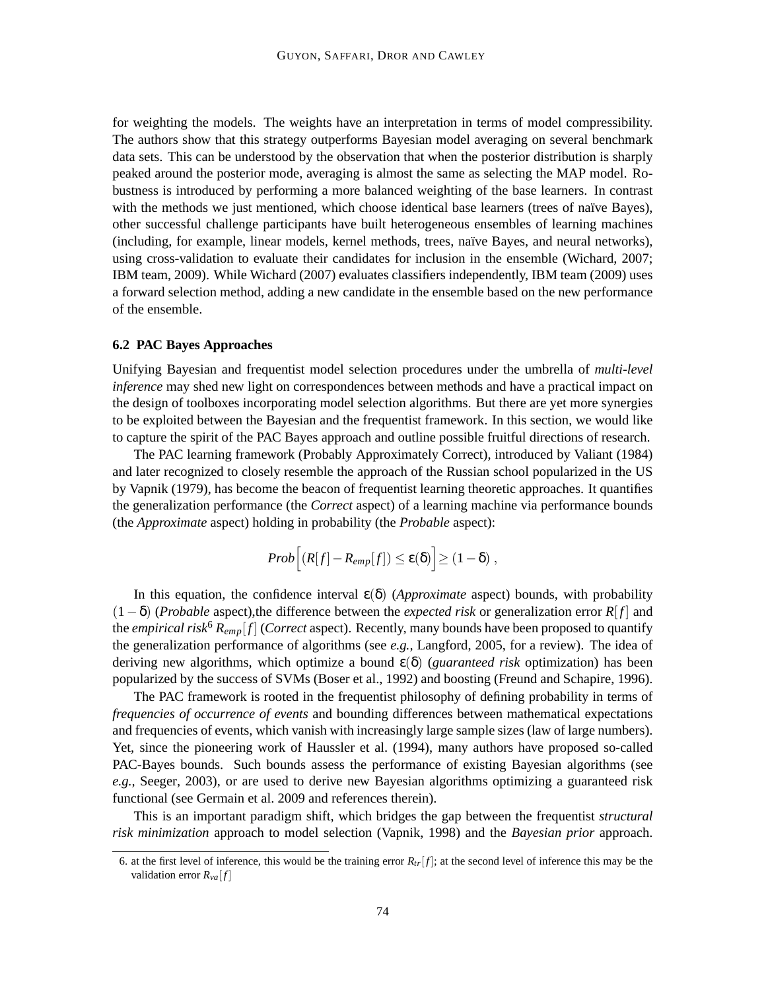for weighting the models. The weights have an interpretation in terms of model compressibility. The authors show that this strategy outperforms Bayesian model averaging on several benchmark data sets. This can be understood by the observation that when the posterior distribution is sharply peaked around the posterior mode, averaging is almost the same as selecting the MAP model. Robustness is introduced by performing a more balanced weighting of the base learners. In contrast with the methods we just mentioned, which choose identical base learners (trees of naïve Bayes), other successful challenge participants have built heterogeneous ensembles of learning machines (including, for example, linear models, kernel methods, trees, naïve Bayes, and neural networks), using cross-validation to evaluate their candidates for inclusion in the ensemble (Wichard, 2007; IBM team, 2009). While Wichard (2007) evaluates classifiers independently, IBM team (2009) uses a forward selection method, adding a new candidate in the ensemble based on the new performance of the ensemble.

# **6.2 PAC Bayes Approaches**

Unifying Bayesian and frequentist model selection procedures under the umbrella of *multi-level inference* may shed new light on correspondences between methods and have a practical impact on the design of toolboxes incorporating model selection algorithms. But there are yet more synergies to be exploited between the Bayesian and the frequentist framework. In this section, we would like to capture the spirit of the PAC Bayes approach and outline possible fruitful directions of research.

The PAC learning framework (Probably Approximately Correct), introduced by Valiant (1984) and later recognized to closely resemble the approach of the Russian school popularized in the US by Vapnik (1979), has become the beacon of frequentist learning theoretic approaches. It quantifies the generalization performance (the *Correct* aspect) of a learning machine via performance bounds (the *Approximate* aspect) holding in probability (the *Probable* aspect):

$$
Prob [(R[f]-R_{emp}[f]) \le \varepsilon(\delta)] \ge (1-\delta) ,
$$

In this equation, the confidence interval  $\varepsilon(\delta)$  (*Approximate* aspect) bounds, with probability (1−δ) (*Probable* aspect),the difference between the *expected risk* or generalization error *R*[ *f* ] and the *empirical risk*<sup>6</sup>  $R_{emp}[f]$  (*Correct* aspect). Recently, many bounds have been proposed to quantify the generalization performance of algorithms (see *e.g.,* Langford, 2005, for a review). The idea of deriving new algorithms, which optimize a bound ε(δ) (*guaranteed risk* optimization) has been popularized by the success of SVMs (Boser et al., 1992) and boosting (Freund and Schapire, 1996).

The PAC framework is rooted in the frequentist philosophy of defining probability in terms of *frequencies of occurrence of events* and bounding differences between mathematical expectations and frequencies of events, which vanish with increasingly large sample sizes (law of large numbers). Yet, since the pioneering work of Haussler et al. (1994), many authors have proposed so-called PAC-Bayes bounds. Such bounds assess the performance of existing Bayesian algorithms (see *e.g.,* Seeger, 2003), or are used to derive new Bayesian algorithms optimizing a guaranteed risk functional (see Germain et al. 2009 and references therein).

This is an important paradigm shift, which bridges the gap between the frequentist *structural risk minimization* approach to model selection (Vapnik, 1998) and the *Bayesian prior* approach.

<sup>6.</sup> at the first level of inference, this would be the training error  $R_{tr}[f]$ ; at the second level of inference this may be the validation error  $R_{va}[f]$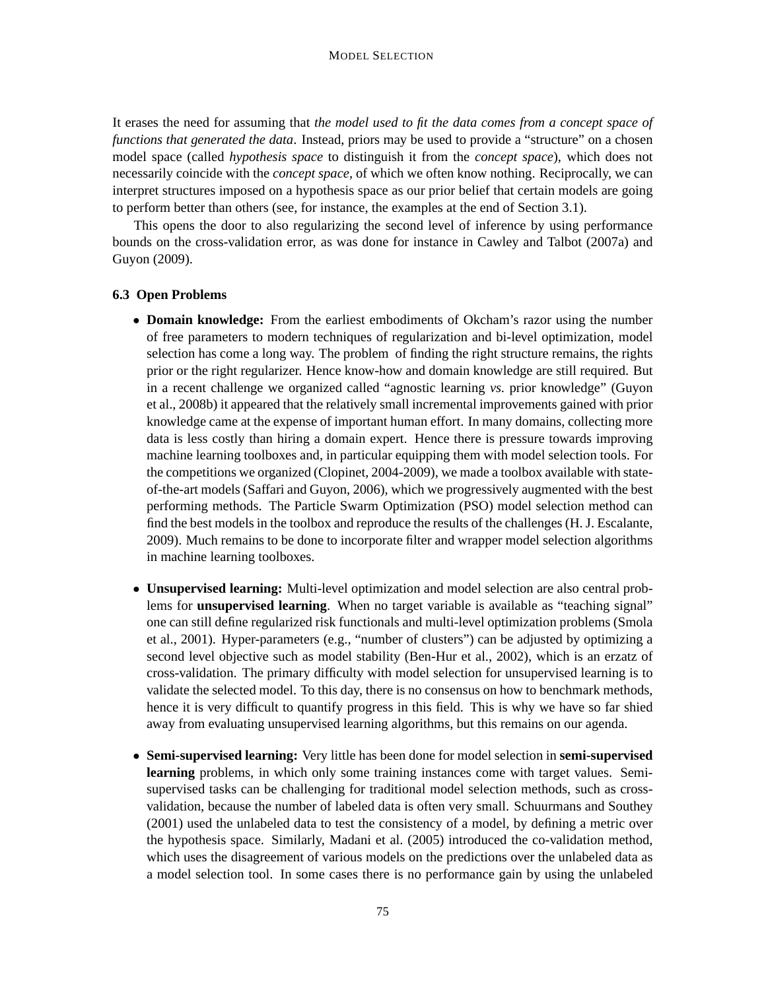It erases the need for assuming that *the model used to fit the data comes from a concept space of functions that generated the data*. Instead, priors may be used to provide a "structure" on a chosen model space (called *hypothesis space* to distinguish it from the *concept space*), which does not necessarily coincide with the *concept space*, of which we often know nothing. Reciprocally, we can interpret structures imposed on a hypothesis space as our prior belief that certain models are going to perform better than others (see, for instance, the examples at the end of Section 3.1).

This opens the door to also regularizing the second level of inference by using performance bounds on the cross-validation error, as was done for instance in Cawley and Talbot (2007a) and Guyon (2009).

# **6.3 Open Problems**

- **Domain knowledge:** From the earliest embodiments of Okcham's razor using the number of free parameters to modern techniques of regularization and bi-level optimization, model selection has come a long way. The problem of finding the right structure remains, the rights prior or the right regularizer. Hence know-how and domain knowledge are still required. But in a recent challenge we organized called "agnostic learning *vs.* prior knowledge" (Guyon et al., 2008b) it appeared that the relatively small incremental improvements gained with prior knowledge came at the expense of important human effort. In many domains, collecting more data is less costly than hiring a domain expert. Hence there is pressure towards improving machine learning toolboxes and, in particular equipping them with model selection tools. For the competitions we organized (Clopinet, 2004-2009), we made a toolbox available with stateof-the-art models (Saffari and Guyon, 2006), which we progressively augmented with the best performing methods. The Particle Swarm Optimization (PSO) model selection method can find the best models in the toolbox and reproduce the results of the challenges (H. J. Escalante, 2009). Much remains to be done to incorporate filter and wrapper model selection algorithms in machine learning toolboxes.
- **Unsupervised learning:** Multi-level optimization and model selection are also central problems for **unsupervised learning**. When no target variable is available as "teaching signal" one can still define regularized risk functionals and multi-level optimization problems (Smola et al., 2001). Hyper-parameters (e.g., "number of clusters") can be adjusted by optimizing a second level objective such as model stability (Ben-Hur et al., 2002), which is an erzatz of cross-validation. The primary difficulty with model selection for unsupervised learning is to validate the selected model. To this day, there is no consensus on how to benchmark methods, hence it is very difficult to quantify progress in this field. This is why we have so far shied away from evaluating unsupervised learning algorithms, but this remains on our agenda.
- **Semi-supervised learning:** Very little has been done for model selection in **semi-supervised learning** problems, in which only some training instances come with target values. Semisupervised tasks can be challenging for traditional model selection methods, such as crossvalidation, because the number of labeled data is often very small. Schuurmans and Southey (2001) used the unlabeled data to test the consistency of a model, by defining a metric over the hypothesis space. Similarly, Madani et al. (2005) introduced the co-validation method, which uses the disagreement of various models on the predictions over the unlabeled data as a model selection tool. In some cases there is no performance gain by using the unlabeled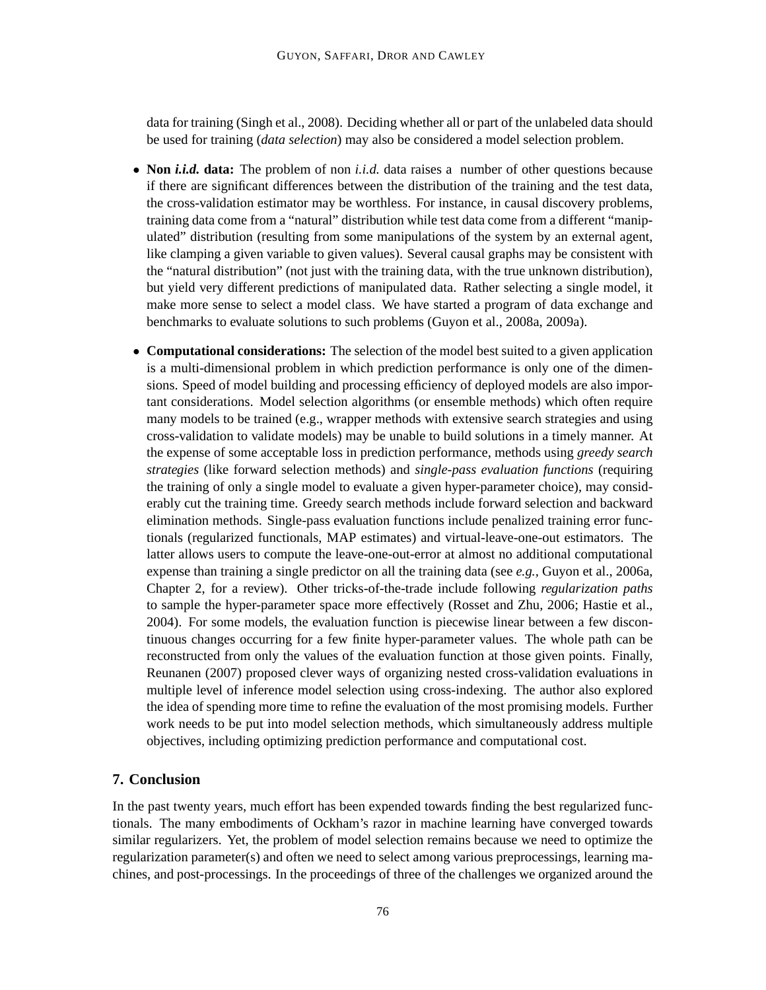data for training (Singh et al., 2008). Deciding whether all or part of the unlabeled data should be used for training (*data selection*) may also be considered a model selection problem.

- **Non** *i.i.d.* **data:** The problem of non *i.i.d.* data raises a number of other questions because if there are significant differences between the distribution of the training and the test data, the cross-validation estimator may be worthless. For instance, in causal discovery problems, training data come from a "natural" distribution while test data come from a different "manipulated" distribution (resulting from some manipulations of the system by an external agent, like clamping a given variable to given values). Several causal graphs may be consistent with the "natural distribution" (not just with the training data, with the true unknown distribution), but yield very different predictions of manipulated data. Rather selecting a single model, it make more sense to select a model class. We have started a program of data exchange and benchmarks to evaluate solutions to such problems (Guyon et al., 2008a, 2009a).
- **Computational considerations:** The selection of the model best suited to a given application is a multi-dimensional problem in which prediction performance is only one of the dimensions. Speed of model building and processing efficiency of deployed models are also important considerations. Model selection algorithms (or ensemble methods) which often require many models to be trained (e.g., wrapper methods with extensive search strategies and using cross-validation to validate models) may be unable to build solutions in a timely manner. At the expense of some acceptable loss in prediction performance, methods using *greedy search strategies* (like forward selection methods) and *single-pass evaluation functions* (requiring the training of only a single model to evaluate a given hyper-parameter choice), may considerably cut the training time. Greedy search methods include forward selection and backward elimination methods. Single-pass evaluation functions include penalized training error functionals (regularized functionals, MAP estimates) and virtual-leave-one-out estimators. The latter allows users to compute the leave-one-out-error at almost no additional computational expense than training a single predictor on all the training data (see *e.g.,* Guyon et al., 2006a, Chapter 2, for a review). Other tricks-of-the-trade include following *regularization paths* to sample the hyper-parameter space more effectively (Rosset and Zhu, 2006; Hastie et al., 2004). For some models, the evaluation function is piecewise linear between a few discontinuous changes occurring for a few finite hyper-parameter values. The whole path can be reconstructed from only the values of the evaluation function at those given points. Finally, Reunanen (2007) proposed clever ways of organizing nested cross-validation evaluations in multiple level of inference model selection using cross-indexing. The author also explored the idea of spending more time to refine the evaluation of the most promising models. Further work needs to be put into model selection methods, which simultaneously address multiple objectives, including optimizing prediction performance and computational cost.

# **7. Conclusion**

In the past twenty years, much effort has been expended towards finding the best regularized functionals. The many embodiments of Ockham's razor in machine learning have converged towards similar regularizers. Yet, the problem of model selection remains because we need to optimize the regularization parameter(s) and often we need to select among various preprocessings, learning machines, and post-processings. In the proceedings of three of the challenges we organized around the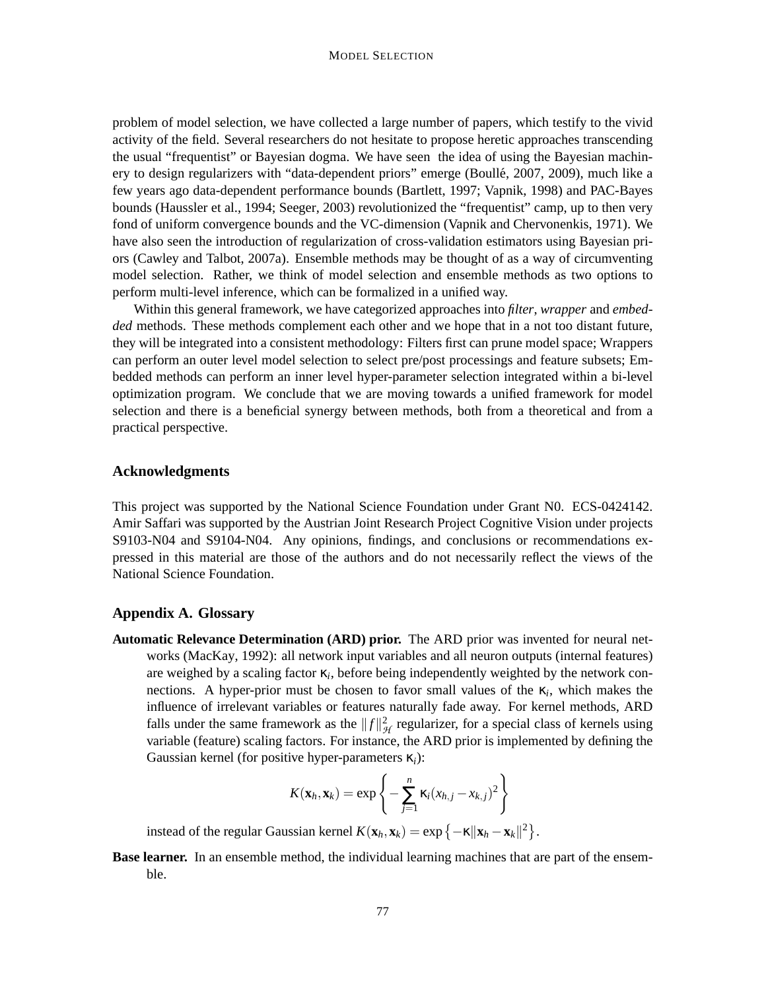problem of model selection, we have collected a large number of papers, which testify to the vivid activity of the field. Several researchers do not hesitate to propose heretic approaches transcending the usual "frequentist" or Bayesian dogma. We have seen the idea of using the Bayesian machinery to design regularizers with "data-dependent priors" emerge (Boulle, 2007, 2009), much like a ´ few years ago data-dependent performance bounds (Bartlett, 1997; Vapnik, 1998) and PAC-Bayes bounds (Haussler et al., 1994; Seeger, 2003) revolutionized the "frequentist" camp, up to then very fond of uniform convergence bounds and the VC-dimension (Vapnik and Chervonenkis, 1971). We have also seen the introduction of regularization of cross-validation estimators using Bayesian priors (Cawley and Talbot, 2007a). Ensemble methods may be thought of as a way of circumventing model selection. Rather, we think of model selection and ensemble methods as two options to perform multi-level inference, which can be formalized in a unified way.

Within this general framework, we have categorized approaches into *filter*, *wrapper* and *embedded* methods. These methods complement each other and we hope that in a not too distant future, they will be integrated into a consistent methodology: Filters first can prune model space; Wrappers can perform an outer level model selection to select pre/post processings and feature subsets; Embedded methods can perform an inner level hyper-parameter selection integrated within a bi-level optimization program. We conclude that we are moving towards a unified framework for model selection and there is a beneficial synergy between methods, both from a theoretical and from a practical perspective.

# **Acknowledgments**

This project was supported by the National Science Foundation under Grant N0. ECS-0424142. Amir Saffari was supported by the Austrian Joint Research Project Cognitive Vision under projects S9103-N04 and S9104-N04. Any opinions, findings, and conclusions or recommendations expressed in this material are those of the authors and do not necessarily reflect the views of the National Science Foundation.

## **Appendix A. Glossary**

**Automatic Relevance Determination (ARD) prior.** The ARD prior was invented for neural networks (MacKay, 1992): all network input variables and all neuron outputs (internal features) are weighed by a scaling factor κ*<sup>i</sup>* , before being independently weighted by the network connections. A hyper-prior must be chosen to favor small values of the  $\kappa_i$ , which makes the influence of irrelevant variables or features naturally fade away. For kernel methods, ARD falls under the same framework as the  $||f||^2_{\mathcal{H}}$  regularizer, for a special class of kernels using variable (feature) scaling factors. For instance, the ARD prior is implemented by defining the Gaussian kernel (for positive hyper-parameters κ*i*):

$$
K(\mathbf{x}_h,\mathbf{x}_k)=\exp\left\{-\sum_{j=1}^n\kappa_i(x_{h,j}-x_{k,j})^2\right\}
$$

instead of the regular Gaussian kernel  $K(\mathbf{x}_h, \mathbf{x}_k) = \exp\{-\kappa ||\mathbf{x}_h - \mathbf{x}_k||^2\}$ .

**Base learner.** In an ensemble method, the individual learning machines that are part of the ensemble.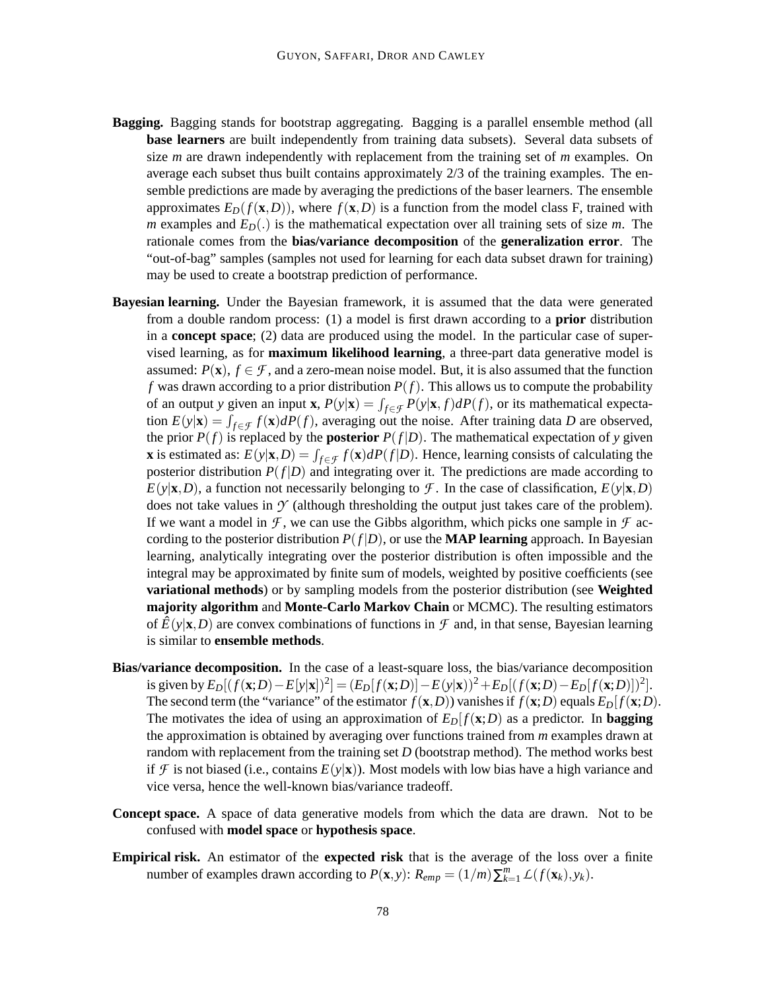- **Bagging.** Bagging stands for bootstrap aggregating. Bagging is a parallel ensemble method (all **base learners** are built independently from training data subsets). Several data subsets of size *m* are drawn independently with replacement from the training set of *m* examples. On average each subset thus built contains approximately 2/3 of the training examples. The ensemble predictions are made by averaging the predictions of the baser learners. The ensemble approximates  $E_D(f(\mathbf{x}, D))$ , where  $f(\mathbf{x}, D)$  is a function from the model class F, trained with *m* examples and  $E_D(.)$  is the mathematical expectation over all training sets of size *m*. The rationale comes from the **bias/variance decomposition** of the **generalization error**. The "out-of-bag" samples (samples not used for learning for each data subset drawn for training) may be used to create a bootstrap prediction of performance.
- **Bayesian learning.** Under the Bayesian framework, it is assumed that the data were generated from a double random process: (1) a model is first drawn according to a **prior** distribution in a **concept space**; (2) data are produced using the model. In the particular case of supervised learning, as for **maximum likelihood learning**, a three-part data generative model is assumed:  $P(\mathbf{x})$ ,  $f \in \mathcal{F}$ , and a zero-mean noise model. But, it is also assumed that the function *f* was drawn according to a prior distribution  $P(f)$ . This allows us to compute the probability of an output *y* given an input **x**,  $P(y|\mathbf{x}) = \int_{f \in \mathcal{F}} P(y|\mathbf{x}, f) dP(f)$ , or its mathematical expectation  $E(y|\mathbf{x}) = \int_{f \in \mathcal{F}} f(\mathbf{x}) dP(f)$ , averaging out the noise. After training data *D* are observed, the prior  $P(f)$  is replaced by the **posterior**  $P(f|D)$ . The mathematical expectation of *y* given **x** is estimated as:  $E(y|\mathbf{x}, D) = \int_{f \in \mathcal{F}} f(\mathbf{x}) dP(f|D)$ . Hence, learning consists of calculating the posterior distribution  $P(f|D)$  and integrating over it. The predictions are made according to  $E(y|\mathbf{x}, D)$ , a function not necessarily belonging to *F*. In the case of classification,  $E(y|\mathbf{x}, D)$ does not take values in  $\mathcal Y$  (although thresholding the output just takes care of the problem). If we want a model in  $\mathcal F$ , we can use the Gibbs algorithm, which picks one sample in  $\mathcal F$  according to the posterior distribution  $P(f|D)$ , or use the **MAP learning** approach. In Bayesian learning, analytically integrating over the posterior distribution is often impossible and the integral may be approximated by finite sum of models, weighted by positive coefficients (see **variational methods**) or by sampling models from the posterior distribution (see **Weighted majority algorithm** and **Monte-Carlo Markov Chain** or MCMC). The resulting estimators of  $\hat{E}(y|\mathbf{x},D)$  are convex combinations of functions in  $\mathcal F$  and, in that sense, Bayesian learning is similar to **ensemble methods**.
- **Bias/variance decomposition.** In the case of a least-square loss, the bias/variance decomposition is given by  $E_D[(f(\mathbf{x}; D) - E[y|\mathbf{x}])^2] = (E_D[f(\mathbf{x}; D)] - E(y|\mathbf{x}))^2 + E_D[(f(\mathbf{x}; D) - E_D[f(\mathbf{x}; D)])^2].$ The second term (the "variance" of the estimator  $f(\mathbf{x}, D)$ ) vanishes if  $f(\mathbf{x}; D)$  equals  $E_D[f(\mathbf{x}; D)$ . The motivates the idea of using an approximation of  $E_D[f(\mathbf{x};D)]$  as a predictor. In **bagging** the approximation is obtained by averaging over functions trained from *m* examples drawn at random with replacement from the training set *D* (bootstrap method). The method works best if *F* is not biased (i.e., contains  $E(y|\mathbf{x})$ ). Most models with low bias have a high variance and vice versa, hence the well-known bias/variance tradeoff.
- **Concept space.** A space of data generative models from which the data are drawn. Not to be confused with **model space** or **hypothesis space**.
- **Empirical risk.** An estimator of the **expected risk** that is the average of the loss over a finite number of examples drawn according to  $P(\mathbf{x}, y)$ :  $R_{emp} = (1/m)\sum_{k=1}^{m} L(f(\mathbf{x}_k), y_k)$ .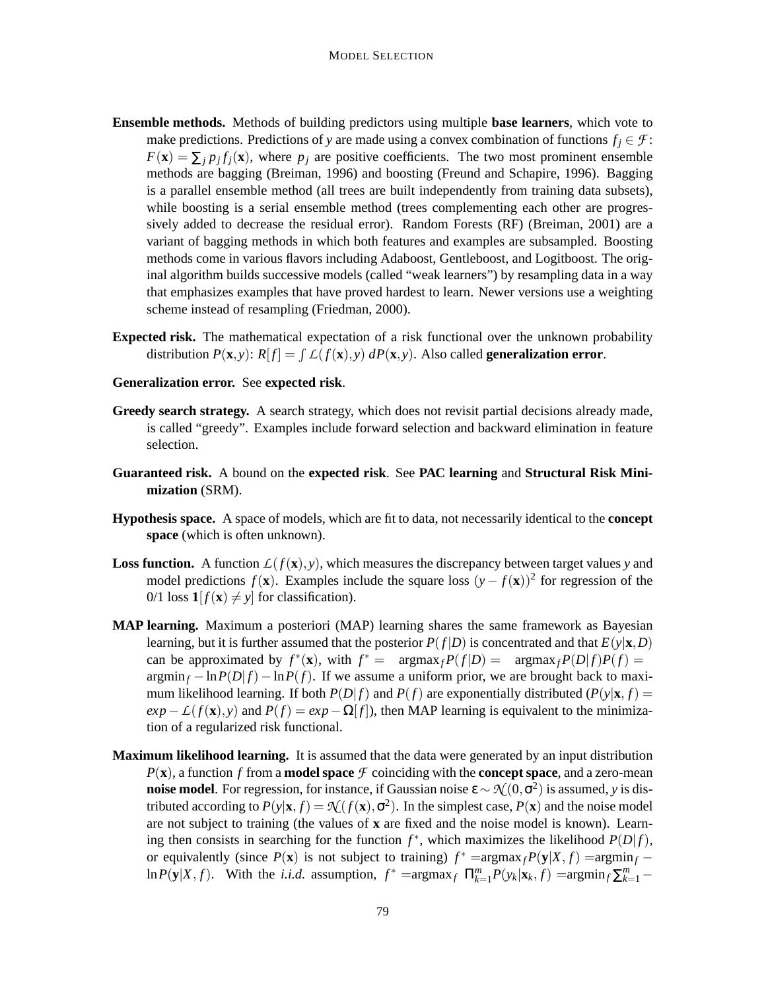- **Ensemble methods.** Methods of building predictors using multiple **base learners**, which vote to make predictions. Predictions of *y* are made using a convex combination of functions  $f_i \in \mathcal{F}$ :  $F(\mathbf{x}) = \sum_j p_j f_j(\mathbf{x})$ , where  $p_j$  are positive coefficients. The two most prominent ensemble methods are bagging (Breiman, 1996) and boosting (Freund and Schapire, 1996). Bagging is a parallel ensemble method (all trees are built independently from training data subsets), while boosting is a serial ensemble method (trees complementing each other are progressively added to decrease the residual error). Random Forests (RF) (Breiman, 2001) are a variant of bagging methods in which both features and examples are subsampled. Boosting methods come in various flavors including Adaboost, Gentleboost, and Logitboost. The original algorithm builds successive models (called "weak learners") by resampling data in a way that emphasizes examples that have proved hardest to learn. Newer versions use a weighting scheme instead of resampling (Friedman, 2000).
- **Expected risk.** The mathematical expectation of a risk functional over the unknown probability distribution  $P(\mathbf{x}, y)$ :  $R[f] = \int L(f(\mathbf{x}), y) dP(\mathbf{x}, y)$ . Also called **generalization error**.

# **Generalization error.** See **expected risk**.

- **Greedy search strategy.** A search strategy, which does not revisit partial decisions already made, is called "greedy". Examples include forward selection and backward elimination in feature selection.
- **Guaranteed risk.** A bound on the **expected risk**. See **PAC learning** and **Structural Risk Minimization** (SRM).
- **Hypothesis space.** A space of models, which are fit to data, not necessarily identical to the **concept space** (which is often unknown).
- **Loss function.** A function  $L(f(\mathbf{x}), y)$ , which measures the discrepancy between target values y and model predictions  $f(\mathbf{x})$ . Examples include the square loss  $(y - f(\mathbf{x}))^2$  for regression of the 0/1 loss  $\mathbf{1}[f(\mathbf{x}) \neq y]$  for classification).
- **MAP learning.** Maximum a posteriori (MAP) learning shares the same framework as Bayesian learning, but it is further assumed that the posterior  $P(f|D)$  is concentrated and that  $E(y|\mathbf{x},D)$ can be approximated by  $f^*(\mathbf{x})$ , with  $f^* = \text{argmax}_f P(f|D) = \text{argmax}_f P(D|f)P(f) =$  $\arg\min_f -\ln P(D|f) - \ln P(f)$ . If we assume a uniform prior, we are brought back to maximum likelihood learning. If both  $P(D|f)$  and  $P(f)$  are exponentially distributed  $(P(y|\mathbf{x}, f))$  $exp$ −*L*( $f$ (**x**),  $y$ ) and  $P(f) = exp$ −Ω[ $f$ ]), then MAP learning is equivalent to the minimization of a regularized risk functional.
- **Maximum likelihood learning.** It is assumed that the data were generated by an input distribution  $P(\mathbf{x})$ , a function f from a **model space**  $\mathcal{F}$  coinciding with the **concept space**, and a zero-mean **noise model**. For regression, for instance, if Gaussian noise ε ∼  $\mathcal{N}(0, \sigma^2)$  is assumed, *y* is distributed according to  $P(y|\mathbf{x}, f) = \mathcal{N}(f(\mathbf{x}), \sigma^2)$ . In the simplest case,  $P(\mathbf{x})$  and the noise model are not subject to training (the values of **x** are fixed and the noise model is known). Learning then consists in searching for the function  $f^*$ , which maximizes the likelihood  $P(D|f)$ , or equivalently (since  $P(\mathbf{x})$  is not subject to training)  $f^* = \argmax_f P(\mathbf{y}|X, f) = \argmin_f \ln P(\mathbf{y}|X, f)$ . With the *i.i.d.* assumption,  $f^* = \argmax_f \prod_{k=1}^m P(y_k|\mathbf{x}_k, f) = \argmin_f \sum_{k=1}^m \sum_{k=1}^m f(y_k|\mathbf{x}_k, f)$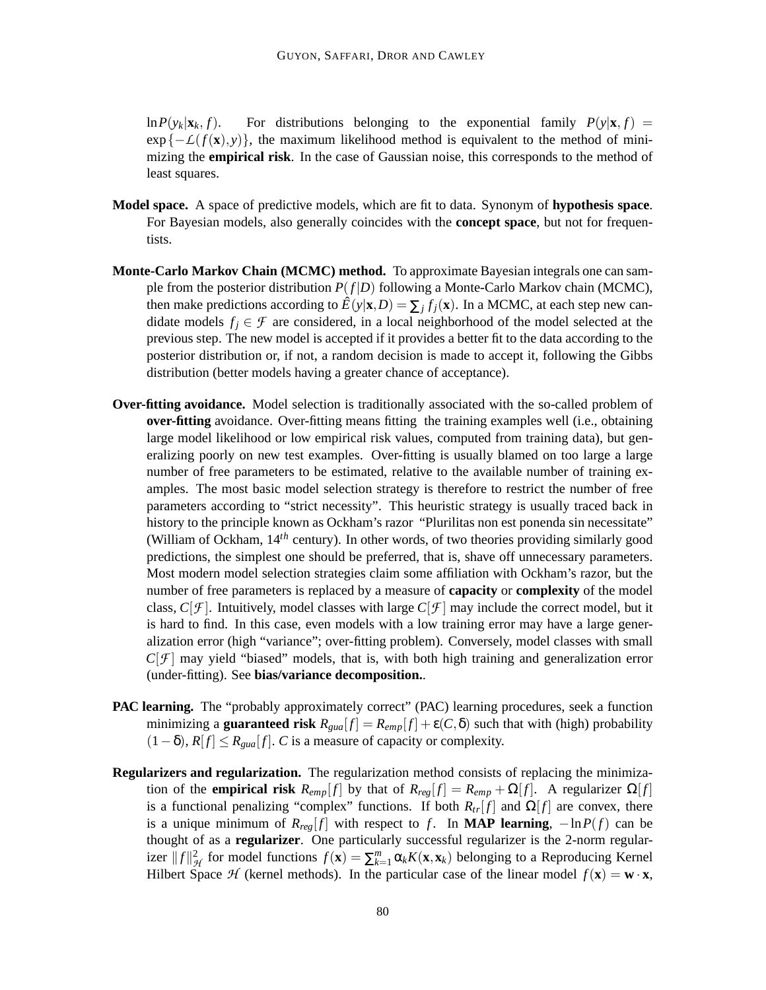$\ln P(y_k|\mathbf{x}_k, f)$ . For distributions belonging to the exponential family  $P(y|\mathbf{x}, f)$  =  $\exp\{-\mathcal{L}(f(\mathbf{x}), y)\}\)$ , the maximum likelihood method is equivalent to the method of minimizing the **empirical risk**. In the case of Gaussian noise, this corresponds to the method of least squares.

- **Model space.** A space of predictive models, which are fit to data. Synonym of **hypothesis space**. For Bayesian models, also generally coincides with the **concept space**, but not for frequentists.
- **Monte-Carlo Markov Chain (MCMC) method.** To approximate Bayesian integrals one can sample from the posterior distribution  $P(f|D)$  following a Monte-Carlo Markov chain (MCMC), then make predictions according to  $\hat{E}(y|\mathbf{x},D) = \sum_j f_j(\mathbf{x})$ . In a MCMC, at each step new candidate models  $f_i \in \mathcal{F}$  are considered, in a local neighborhood of the model selected at the previous step. The new model is accepted if it provides a better fit to the data according to the posterior distribution or, if not, a random decision is made to accept it, following the Gibbs distribution (better models having a greater chance of acceptance).
- **Over-fitting avoidance.** Model selection is traditionally associated with the so-called problem of **over-fitting** avoidance. Over-fitting means fitting the training examples well (i.e., obtaining large model likelihood or low empirical risk values, computed from training data), but generalizing poorly on new test examples. Over-fitting is usually blamed on too large a large number of free parameters to be estimated, relative to the available number of training examples. The most basic model selection strategy is therefore to restrict the number of free parameters according to "strict necessity". This heuristic strategy is usually traced back in history to the principle known as Ockham's razor "Plurilitas non est ponenda sin necessitate" (William of Ockham, 14*th* century). In other words, of two theories providing similarly good predictions, the simplest one should be preferred, that is, shave off unnecessary parameters. Most modern model selection strategies claim some affiliation with Ockham's razor, but the number of free parameters is replaced by a measure of **capacity** or **complexity** of the model class,  $C[f]$ . Intuitively, model classes with large  $C[f]$  may include the correct model, but it is hard to find. In this case, even models with a low training error may have a large generalization error (high "variance"; over-fitting problem). Conversely, model classes with small  $C[f]$  may yield "biased" models, that is, with both high training and generalization error (under-fitting). See **bias/variance decomposition.**.
- **PAC learning.** The "probably approximately correct" (PAC) learning procedures, seek a function minimizing a **guaranteed risk**  $R_{\text{quad}}[f] = R_{\text{emp}}[f] + \varepsilon(C, \delta)$  such that with (high) probability  $(1-\delta)$ ,  $R[f] \leq R_{\text{quad}}[f]$ . *C* is a measure of capacity or complexity.
- **Regularizers and regularization.** The regularization method consists of replacing the minimization of the **empirical risk**  $R_{emp}[f]$  by that of  $R_{reg}[f] = R_{emp} + \Omega[f]$ . A regularizer  $\Omega[f]$ is a functional penalizing "complex" functions. If both  $R_{tr}[f]$  and  $\Omega[f]$  are convex, there is a unique minimum of  $R_{reg}[f]$  with respect to *f*. In **MAP learning**,  $-\ln P(f)$  can be thought of as a **regularizer**. One particularly successful regularizer is the 2-norm regularizer  $||f||_{\mathcal{H}}^2$  for model functions  $f(\mathbf{x}) = \sum_{k=1}^m \alpha_k K(\mathbf{x}, \mathbf{x}_k)$  belonging to a Reproducing Kernel Hilbert Space *H* (kernel methods). In the particular case of the linear model  $f(\mathbf{x}) = \mathbf{w} \cdot \mathbf{x}$ ,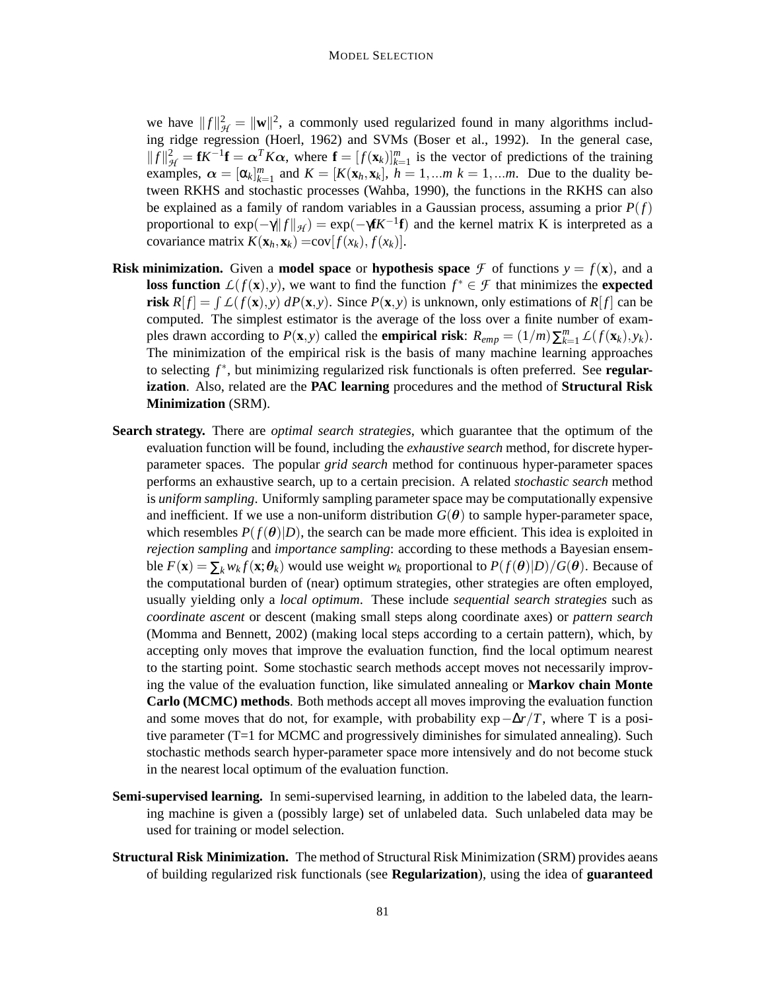we have  $||f||^2_{\mathcal{H}} = ||\mathbf{w}||^2$ , a commonly used regularized found in many algorithms including ridge regression (Hoerl, 1962) and SVMs (Boser et al., 1992). In the general case,  $||f||_{\mathcal{H}}^2 = fK^{-1}f = \alpha^T K \alpha$ , where  $f = [f(\mathbf{x}_k)]_{k=1}^m$  is the vector of predictions of the training examples,  $\alpha = [\alpha_k]_{k=1}^m$  and  $K = [K(\mathbf{x}_h, \mathbf{x}_k], h = 1,...m, k = 1,...m$ . Due to the duality between RKHS and stochastic processes (Wahba, 1990), the functions in the RKHS can also be explained as a family of random variables in a Gaussian process, assuming a prior  $P(f)$ proportional to  $exp(-\gamma ||f||_{\mathcal{H}}) = exp(-\gamma f K^{-1}f)$  and the kernel matrix K is interpreted as a covariance matrix  $K(\mathbf{x}_h, \mathbf{x}_k) = \text{cov}[f(x_k), f(x_k)].$ 

- **Risk minimization.** Given a **model space** or **hypothesis space**  $\mathcal F$  of functions  $y = f(x)$ , and a **loss function**  $L(f(\mathbf{x}), y)$ , we want to find the function  $f^* \in \mathcal{F}$  that minimizes the **expected risk**  $R[f] = \int L(f(\mathbf{x}), y) dP(\mathbf{x}, y)$ . Since  $P(\mathbf{x}, y)$  is unknown, only estimations of  $R[f]$  can be computed. The simplest estimator is the average of the loss over a finite number of examples drawn according to  $P(\mathbf{x}, y)$  called the **empirical risk**:  $R_{emp} = (1/m)\sum_{k=1}^{m} L(f(\mathbf{x}_k), y_k)$ . The minimization of the empirical risk is the basis of many machine learning approaches to selecting f<sup>\*</sup>, but minimizing regularized risk functionals is often preferred. See regular**ization**. Also, related are the **PAC learning** procedures and the method of **Structural Risk Minimization** (SRM).
- **Search strategy.** There are *optimal search strategies*, which guarantee that the optimum of the evaluation function will be found, including the *exhaustive search* method, for discrete hyperparameter spaces. The popular *grid search* method for continuous hyper-parameter spaces performs an exhaustive search, up to a certain precision. A related *stochastic search* method is *uniform sampling*. Uniformly sampling parameter space may be computationally expensive and inefficient. If we use a non-uniform distribution  $G(\theta)$  to sample hyper-parameter space, which resembles  $P(f(\theta)|D)$ , the search can be made more efficient. This idea is exploited in *rejection sampling* and *importance sampling*: according to these methods a Bayesian ensemble  $F(\mathbf{x}) = \sum_{k} w_k f(\mathbf{x}; \theta_k)$  would use weight  $w_k$  proportional to  $P(f(\theta)|D)/G(\theta)$ . Because of the computational burden of (near) optimum strategies, other strategies are often employed, usually yielding only a *local optimum*. These include *sequential search strategies* such as *coordinate ascent* or descent (making small steps along coordinate axes) or *pattern search* (Momma and Bennett, 2002) (making local steps according to a certain pattern), which, by accepting only moves that improve the evaluation function, find the local optimum nearest to the starting point. Some stochastic search methods accept moves not necessarily improving the value of the evaluation function, like simulated annealing or **Markov chain Monte Carlo (MCMC) methods**. Both methods accept all moves improving the evaluation function and some moves that do not, for example, with probability  $\exp{-\Delta r/T}$ , where T is a positive parameter (T=1 for MCMC and progressively diminishes for simulated annealing). Such stochastic methods search hyper-parameter space more intensively and do not become stuck in the nearest local optimum of the evaluation function.
- **Semi-supervised learning.** In semi-supervised learning, in addition to the labeled data, the learning machine is given a (possibly large) set of unlabeled data. Such unlabeled data may be used for training or model selection.
- **Structural Risk Minimization.** The method of Structural Risk Minimization (SRM) provides aeans of building regularized risk functionals (see **Regularization**), using the idea of **guaranteed**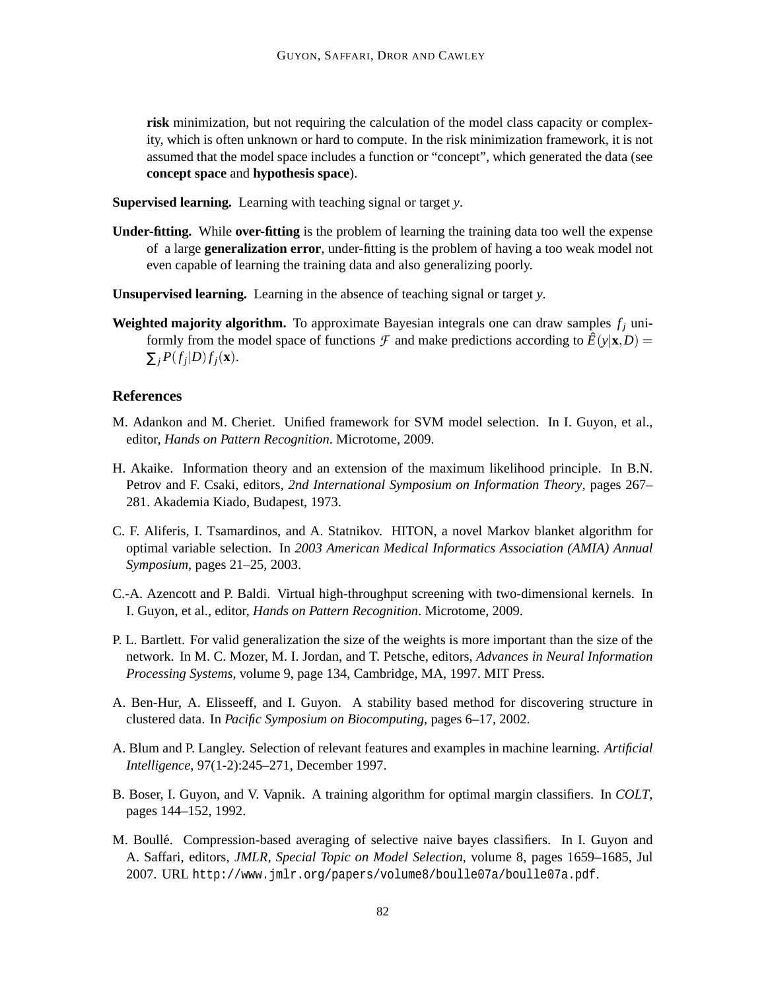**risk** minimization, but not requiring the calculation of the model class capacity or complexity, which is often unknown or hard to compute. In the risk minimization framework, it is not assumed that the model space includes a function or "concept", which generated the data (see **concept space** and **hypothesis space**).

**Supervised learning.** Learning with teaching signal or target *y*.

- **Under-fitting.** While **over-fitting** is the problem of learning the training data too well the expense of a large **generalization error**, under-fitting is the problem of having a too weak model not even capable of learning the training data and also generalizing poorly.
- **Unsupervised learning.** Learning in the absence of teaching signal or target *y*.
- **Weighted majority algorithm.** To approximate Bayesian integrals one can draw samples  $f_i$  uniformly from the model space of functions  $\mathcal F$  and make predictions according to  $\hat E(y|\mathbf{x},D)$  =  $\sum_j P(f_j|D) f_j(\mathbf{x}).$

# **References**

- M. Adankon and M. Cheriet. Unified framework for SVM model selection. In I. Guyon, et al., editor, *Hands on Pattern Recognition*. Microtome, 2009.
- H. Akaike. Information theory and an extension of the maximum likelihood principle. In B.N. Petrov and F. Csaki, editors, *2nd International Symposium on Information Theory*, pages 267– 281. Akademia Kiado, Budapest, 1973.
- C. F. Aliferis, I. Tsamardinos, and A. Statnikov. HITON, a novel Markov blanket algorithm for optimal variable selection. In *2003 American Medical Informatics Association (AMIA) Annual Symposium*, pages 21–25, 2003.
- C.-A. Azencott and P. Baldi. Virtual high-throughput screening with two-dimensional kernels. In I. Guyon, et al., editor, *Hands on Pattern Recognition*. Microtome, 2009.
- P. L. Bartlett. For valid generalization the size of the weights is more important than the size of the network. In M. C. Mozer, M. I. Jordan, and T. Petsche, editors, *Advances in Neural Information Processing Systems*, volume 9, page 134, Cambridge, MA, 1997. MIT Press.
- A. Ben-Hur, A. Elisseeff, and I. Guyon. A stability based method for discovering structure in clustered data. In *Pacific Symposium on Biocomputing*, pages 6–17, 2002.
- A. Blum and P. Langley. Selection of relevant features and examples in machine learning. *Artificial Intelligence*, 97(1-2):245–271, December 1997.
- B. Boser, I. Guyon, and V. Vapnik. A training algorithm for optimal margin classifiers. In *COLT*, pages 144–152, 1992.
- M. Boullé. Compression-based averaging of selective naive bayes classifiers. In I. Guyon and A. Saffari, editors, *JMLR, Special Topic on Model Selection*, volume 8, pages 1659–1685, Jul 2007. URL http://www.jmlr.org/papers/volume8/boulle07a/boulle07a.pdf.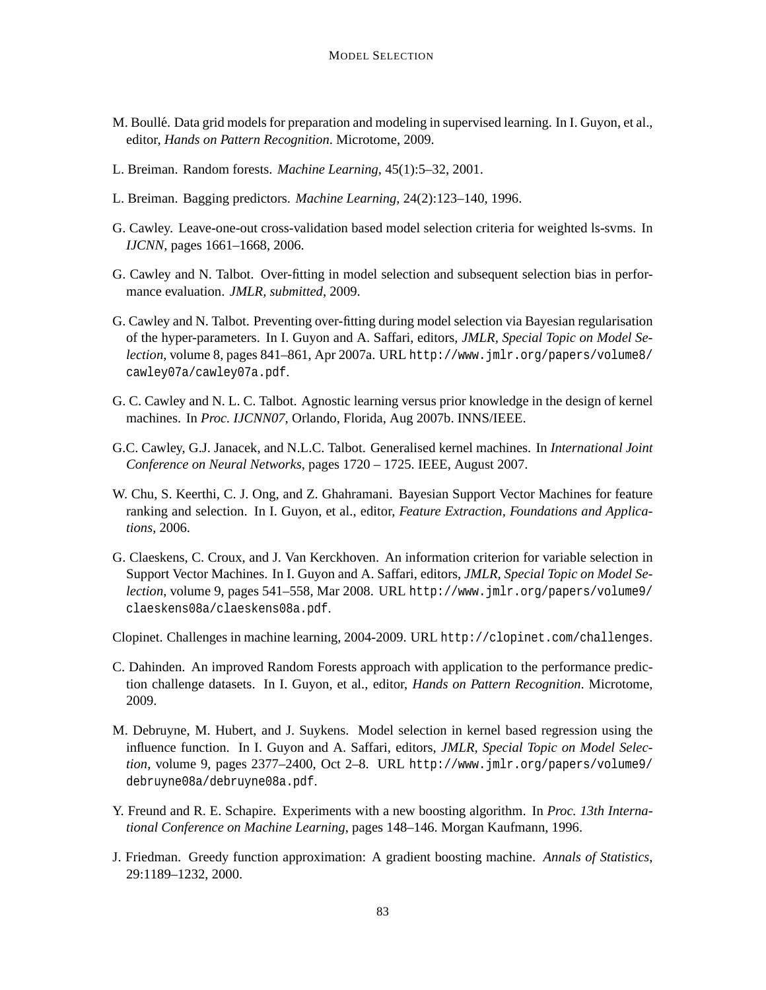- M. Boullé. Data grid models for preparation and modeling in supervised learning. In I. Guyon, et al., editor, *Hands on Pattern Recognition*. Microtome, 2009.
- L. Breiman. Random forests. *Machine Learning*, 45(1):5–32, 2001.
- L. Breiman. Bagging predictors. *Machine Learning*, 24(2):123–140, 1996.
- G. Cawley. Leave-one-out cross-validation based model selection criteria for weighted ls-svms. In *IJCNN*, pages 1661–1668, 2006.
- G. Cawley and N. Talbot. Over-fitting in model selection and subsequent selection bias in performance evaluation. *JMLR, submitted*, 2009.
- G. Cawley and N. Talbot. Preventing over-fitting during model selection via Bayesian regularisation of the hyper-parameters. In I. Guyon and A. Saffari, editors, *JMLR, Special Topic on Model Selection*, volume 8, pages 841–861, Apr 2007a. URL http://www.jmlr.org/papers/volume8/ cawley07a/cawley07a.pdf.
- G. C. Cawley and N. L. C. Talbot. Agnostic learning versus prior knowledge in the design of kernel machines. In *Proc. IJCNN07*, Orlando, Florida, Aug 2007b. INNS/IEEE.
- G.C. Cawley, G.J. Janacek, and N.L.C. Talbot. Generalised kernel machines. In *International Joint Conference on Neural Networks*, pages 1720 – 1725. IEEE, August 2007.
- W. Chu, S. Keerthi, C. J. Ong, and Z. Ghahramani. Bayesian Support Vector Machines for feature ranking and selection. In I. Guyon, et al., editor, *Feature Extraction, Foundations and Applications*, 2006.
- G. Claeskens, C. Croux, and J. Van Kerckhoven. An information criterion for variable selection in Support Vector Machines. In I. Guyon and A. Saffari, editors, *JMLR, Special Topic on Model Selection*, volume 9, pages 541–558, Mar 2008. URL http://www.jmlr.org/papers/volume9/ claeskens08a/claeskens08a.pdf.

Clopinet. Challenges in machine learning, 2004-2009. URL http://clopinet.com/challenges.

- C. Dahinden. An improved Random Forests approach with application to the performance prediction challenge datasets. In I. Guyon, et al., editor, *Hands on Pattern Recognition*. Microtome, 2009.
- M. Debruyne, M. Hubert, and J. Suykens. Model selection in kernel based regression using the influence function. In I. Guyon and A. Saffari, editors, *JMLR, Special Topic on Model Selection*, volume 9, pages 2377–2400, Oct 2–8. URL http://www.jmlr.org/papers/volume9/ debruyne08a/debruyne08a.pdf.
- Y. Freund and R. E. Schapire. Experiments with a new boosting algorithm. In *Proc. 13th International Conference on Machine Learning*, pages 148–146. Morgan Kaufmann, 1996.
- J. Friedman. Greedy function approximation: A gradient boosting machine. *Annals of Statistics*, 29:1189–1232, 2000.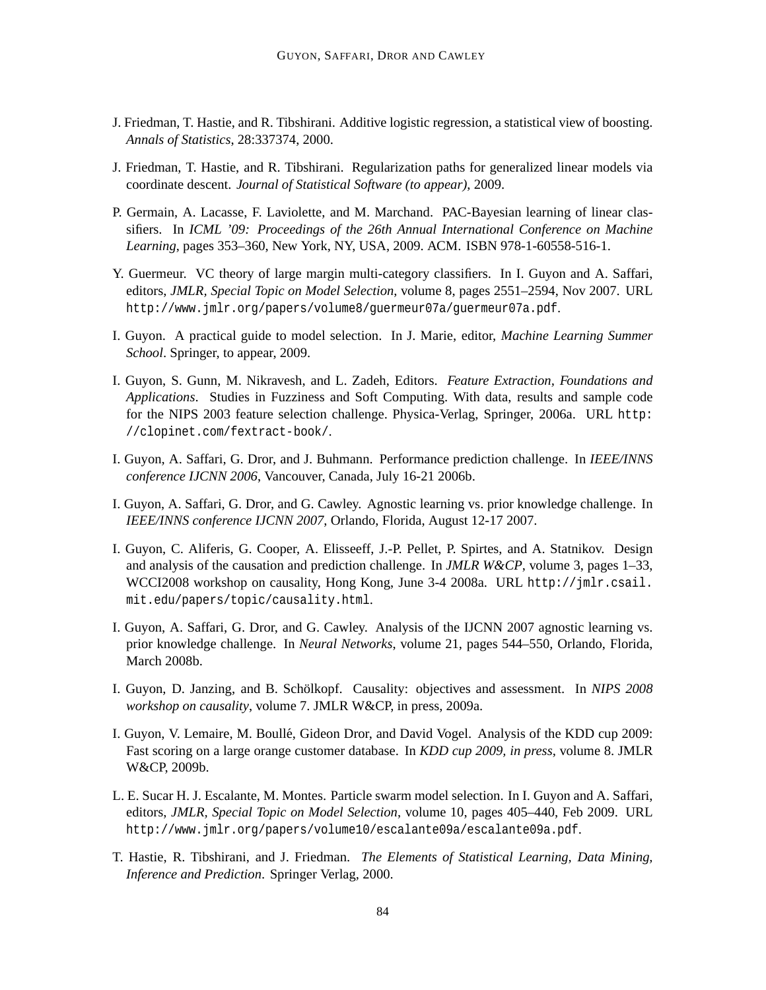- J. Friedman, T. Hastie, and R. Tibshirani. Additive logistic regression, a statistical view of boosting. *Annals of Statistics*, 28:337374, 2000.
- J. Friedman, T. Hastie, and R. Tibshirani. Regularization paths for generalized linear models via coordinate descent. *Journal of Statistical Software (to appear)*, 2009.
- P. Germain, A. Lacasse, F. Laviolette, and M. Marchand. PAC-Bayesian learning of linear classifiers. In *ICML '09: Proceedings of the 26th Annual International Conference on Machine Learning*, pages 353–360, New York, NY, USA, 2009. ACM. ISBN 978-1-60558-516-1.
- Y. Guermeur. VC theory of large margin multi-category classifiers. In I. Guyon and A. Saffari, editors, *JMLR, Special Topic on Model Selection*, volume 8, pages 2551–2594, Nov 2007. URL http://www.jmlr.org/papers/volume8/guermeur07a/guermeur07a.pdf.
- I. Guyon. A practical guide to model selection. In J. Marie, editor, *Machine Learning Summer School*. Springer, to appear, 2009.
- I. Guyon, S. Gunn, M. Nikravesh, and L. Zadeh, Editors. *Feature Extraction, Foundations and Applications*. Studies in Fuzziness and Soft Computing. With data, results and sample code for the NIPS 2003 feature selection challenge. Physica-Verlag, Springer, 2006a. URL http: //clopinet.com/fextract-book/.
- I. Guyon, A. Saffari, G. Dror, and J. Buhmann. Performance prediction challenge. In *IEEE/INNS conference IJCNN 2006*, Vancouver, Canada, July 16-21 2006b.
- I. Guyon, A. Saffari, G. Dror, and G. Cawley. Agnostic learning vs. prior knowledge challenge. In *IEEE/INNS conference IJCNN 2007*, Orlando, Florida, August 12-17 2007.
- I. Guyon, C. Aliferis, G. Cooper, A. Elisseeff, J.-P. Pellet, P. Spirtes, and A. Statnikov. Design and analysis of the causation and prediction challenge. In *JMLR W&CP*, volume 3, pages 1–33, WCCI2008 workshop on causality, Hong Kong, June 3-4 2008a. URL http://jmlr.csail. mit.edu/papers/topic/causality.html.
- I. Guyon, A. Saffari, G. Dror, and G. Cawley. Analysis of the IJCNN 2007 agnostic learning vs. prior knowledge challenge. In *Neural Networks*, volume 21, pages 544–550, Orlando, Florida, March 2008b.
- I. Guyon, D. Janzing, and B. Schölkopf. Causality: objectives and assessment. In *NIPS* 2008 *workshop on causality*, volume 7. JMLR W&CP, in press, 2009a.
- I. Guyon, V. Lemaire, M. Boulle, Gideon Dror, and David Vogel. Analysis of the KDD cup 2009: ´ Fast scoring on a large orange customer database. In *KDD cup 2009, in press*, volume 8. JMLR W&CP, 2009b.
- L. E. Sucar H. J. Escalante, M. Montes. Particle swarm model selection. In I. Guyon and A. Saffari, editors, *JMLR, Special Topic on Model Selection*, volume 10, pages 405–440, Feb 2009. URL http://www.jmlr.org/papers/volume10/escalante09a/escalante09a.pdf.
- T. Hastie, R. Tibshirani, and J. Friedman. *The Elements of Statistical Learning, Data Mining, Inference and Prediction*. Springer Verlag, 2000.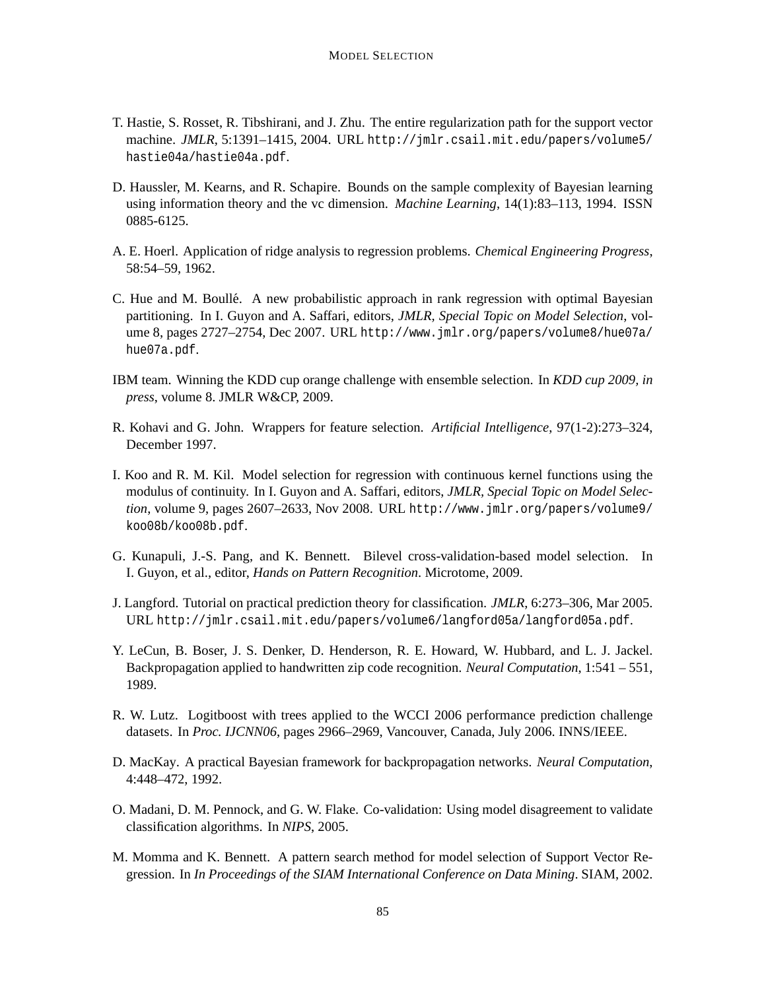- T. Hastie, S. Rosset, R. Tibshirani, and J. Zhu. The entire regularization path for the support vector machine. *JMLR*, 5:1391–1415, 2004. URL http://jmlr.csail.mit.edu/papers/volume5/ hastie04a/hastie04a.pdf.
- D. Haussler, M. Kearns, and R. Schapire. Bounds on the sample complexity of Bayesian learning using information theory and the vc dimension. *Machine Learning*, 14(1):83–113, 1994. ISSN 0885-6125.
- A. E. Hoerl. Application of ridge analysis to regression problems. *Chemical Engineering Progress*, 58:54–59, 1962.
- C. Hue and M. Boulle. A new probabilistic approach in rank regression with optimal Bayesian ´ partitioning. In I. Guyon and A. Saffari, editors, *JMLR, Special Topic on Model Selection*, volume 8, pages 2727–2754, Dec 2007. URL http://www.jmlr.org/papers/volume8/hue07a/ hue07a.pdf.
- IBM team. Winning the KDD cup orange challenge with ensemble selection. In *KDD cup 2009, in press*, volume 8. JMLR W&CP, 2009.
- R. Kohavi and G. John. Wrappers for feature selection. *Artificial Intelligence*, 97(1-2):273–324, December 1997.
- I. Koo and R. M. Kil. Model selection for regression with continuous kernel functions using the modulus of continuity. In I. Guyon and A. Saffari, editors, *JMLR, Special Topic on Model Selection*, volume 9, pages 2607–2633, Nov 2008. URL http://www.jmlr.org/papers/volume9/ koo08b/koo08b.pdf.
- G. Kunapuli, J.-S. Pang, and K. Bennett. Bilevel cross-validation-based model selection. In I. Guyon, et al., editor, *Hands on Pattern Recognition*. Microtome, 2009.
- J. Langford. Tutorial on practical prediction theory for classification. *JMLR*, 6:273–306, Mar 2005. URL http://jmlr.csail.mit.edu/papers/volume6/langford05a/langford05a.pdf.
- Y. LeCun, B. Boser, J. S. Denker, D. Henderson, R. E. Howard, W. Hubbard, and L. J. Jackel. Backpropagation applied to handwritten zip code recognition. *Neural Computation*, 1:541 – 551, 1989.
- R. W. Lutz. Logitboost with trees applied to the WCCI 2006 performance prediction challenge datasets. In *Proc. IJCNN06*, pages 2966–2969, Vancouver, Canada, July 2006. INNS/IEEE.
- D. MacKay. A practical Bayesian framework for backpropagation networks. *Neural Computation*, 4:448–472, 1992.
- O. Madani, D. M. Pennock, and G. W. Flake. Co-validation: Using model disagreement to validate classification algorithms. In *NIPS*, 2005.
- M. Momma and K. Bennett. A pattern search method for model selection of Support Vector Regression. In *In Proceedings of the SIAM International Conference on Data Mining*. SIAM, 2002.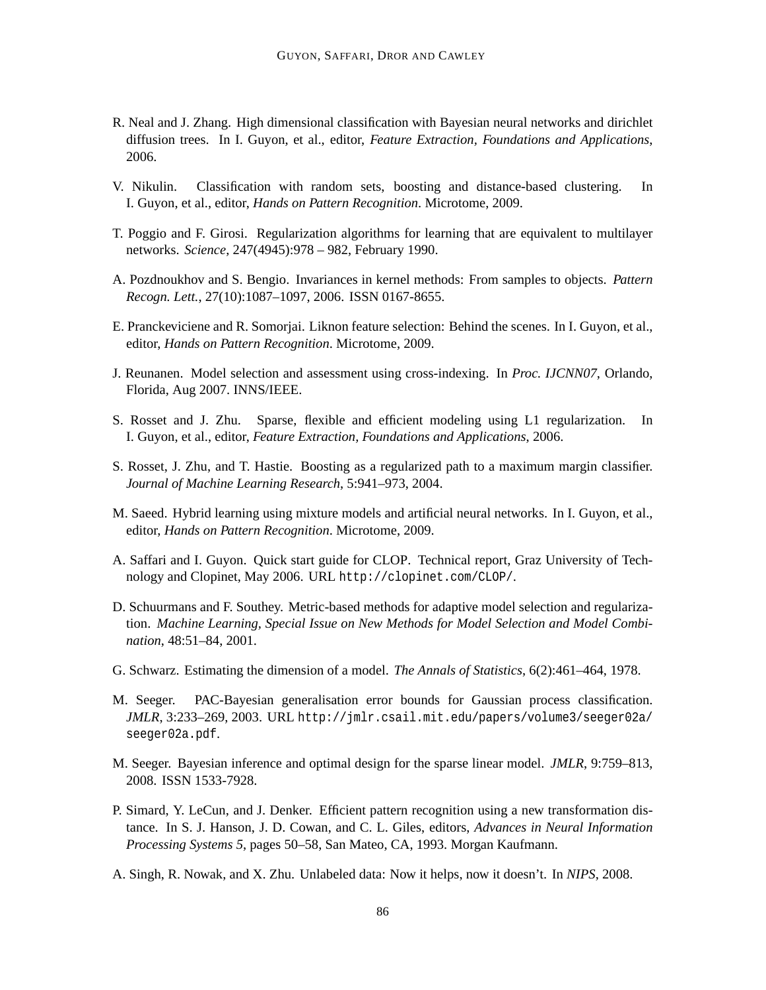- R. Neal and J. Zhang. High dimensional classification with Bayesian neural networks and dirichlet diffusion trees. In I. Guyon, et al., editor, *Feature Extraction, Foundations and Applications*, 2006.
- V. Nikulin. Classification with random sets, boosting and distance-based clustering. In I. Guyon, et al., editor, *Hands on Pattern Recognition*. Microtome, 2009.
- T. Poggio and F. Girosi. Regularization algorithms for learning that are equivalent to multilayer networks. *Science*, 247(4945):978 – 982, February 1990.
- A. Pozdnoukhov and S. Bengio. Invariances in kernel methods: From samples to objects. *Pattern Recogn. Lett.*, 27(10):1087–1097, 2006. ISSN 0167-8655.
- E. Pranckeviciene and R. Somorjai. Liknon feature selection: Behind the scenes. In I. Guyon, et al., editor, *Hands on Pattern Recognition*. Microtome, 2009.
- J. Reunanen. Model selection and assessment using cross-indexing. In *Proc. IJCNN07*, Orlando, Florida, Aug 2007. INNS/IEEE.
- S. Rosset and J. Zhu. Sparse, flexible and efficient modeling using L1 regularization. In I. Guyon, et al., editor, *Feature Extraction, Foundations and Applications*, 2006.
- S. Rosset, J. Zhu, and T. Hastie. Boosting as a regularized path to a maximum margin classifier. *Journal of Machine Learning Research*, 5:941–973, 2004.
- M. Saeed. Hybrid learning using mixture models and artificial neural networks. In I. Guyon, et al., editor, *Hands on Pattern Recognition*. Microtome, 2009.
- A. Saffari and I. Guyon. Quick start guide for CLOP. Technical report, Graz University of Technology and Clopinet, May 2006. URL http://clopinet.com/CLOP/.
- D. Schuurmans and F. Southey. Metric-based methods for adaptive model selection and regularization. *Machine Learning, Special Issue on New Methods for Model Selection and Model Combination*, 48:51–84, 2001.
- G. Schwarz. Estimating the dimension of a model. *The Annals of Statistics*, 6(2):461–464, 1978.
- M. Seeger. PAC-Bayesian generalisation error bounds for Gaussian process classification. *JMLR*, 3:233–269, 2003. URL http://jmlr.csail.mit.edu/papers/volume3/seeger02a/ seeger02a.pdf.
- M. Seeger. Bayesian inference and optimal design for the sparse linear model. *JMLR*, 9:759–813, 2008. ISSN 1533-7928.
- P. Simard, Y. LeCun, and J. Denker. Efficient pattern recognition using a new transformation distance. In S. J. Hanson, J. D. Cowan, and C. L. Giles, editors, *Advances in Neural Information Processing Systems 5*, pages 50–58, San Mateo, CA, 1993. Morgan Kaufmann.
- A. Singh, R. Nowak, and X. Zhu. Unlabeled data: Now it helps, now it doesn't. In *NIPS*, 2008.